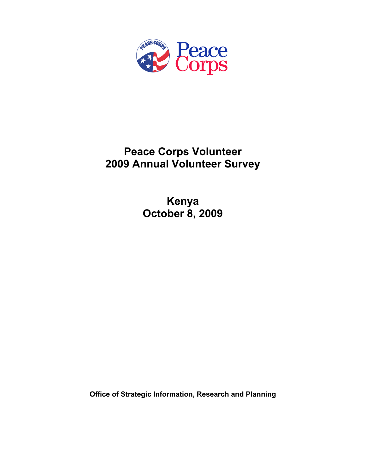

# **Peace Corps Volunteer 2009 Annual Volunteer Survey**

**Kenya October 8, 2009** 

**Office of Strategic Information, Research and Planning**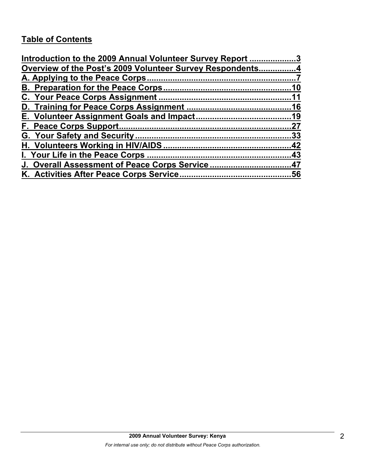# **Table of Contents**

| Introduction to the 2009 Annual Volunteer Survey Report 3 |     |
|-----------------------------------------------------------|-----|
| Overview of the Post's 2009 Volunteer Survey Respondents4 |     |
|                                                           |     |
|                                                           | .10 |
|                                                           |     |
|                                                           |     |
|                                                           |     |
|                                                           | .27 |
|                                                           |     |
|                                                           |     |
|                                                           |     |
| J. Overall Assessment of Peace Corps Service47            |     |
|                                                           |     |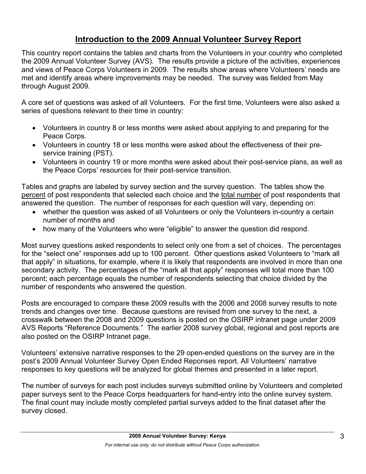## **Introduction to the 2009 Annual Volunteer Survey Report**

This country report contains the tables and charts from the Volunteers in your country who completed the 2009 Annual Volunteer Survey (AVS). The results provide a picture of the activities, experiences and views of Peace Corps Volunteers in 2009. The results show areas where Volunteers' needs are met and identify areas where improvements may be needed. The survey was fielded from May through August 2009.

A core set of questions was asked of all Volunteers. For the first time, Volunteers were also asked a series of questions relevant to their time in country:

- Volunteers in country 8 or less months were asked about applying to and preparing for the Peace Corps.
- Volunteers in country 18 or less months were asked about the effectiveness of their preservice training (PST).
- Volunteers in country 19 or more months were asked about their post-service plans, as well as the Peace Corps' resources for their post-service transition.

Tables and graphs are labeled by survey section and the survey question. The tables show the percent of post respondents that selected each choice and the total number of post respondents that answered the question. The number of responses for each question will vary, depending on:

- whether the question was asked of all Volunteers or only the Volunteers in-country a certain number of months and
- how many of the Volunteers who were "eligible" to answer the question did respond.

Most survey questions asked respondents to select only one from a set of choices. The percentages for the "select one" responses add up to 100 percent. Other questions asked Volunteers to "mark all that apply" in situations, for example, where it is likely that respondents are involved in more than one secondary activity. The percentages of the "mark all that apply" responses will total more than 100 percent; each percentage equals the number of respondents selecting that choice divided by the number of respondents who answered the question.

Posts are encouraged to compare these 2009 results with the 2006 and 2008 survey results to note trends and changes over time. Because questions are revised from one survey to the next, a crosswalk between the 2008 and 2009 questions is posted on the OSIRP intranet page under 2009 AVS Reports "Reference Documents." The earlier 2008 survey global, regional and post reports are also posted on the OSIRP Intranet page.

Volunteers' extensive narrative responses to the 29 open-ended questions on the survey are in the post's 2009 Annual Volunteer Survey Open Ended Reponses report. All Volunteers' narrative responses to key questions will be analyzed for global themes and presented in a later report.

The number of surveys for each post includes surveys submitted online by Volunteers and completed paper surveys sent to the Peace Corps headquarters for hand-entry into the online survey system. The final count may include mostly completed partial surveys added to the final dataset after the survey closed.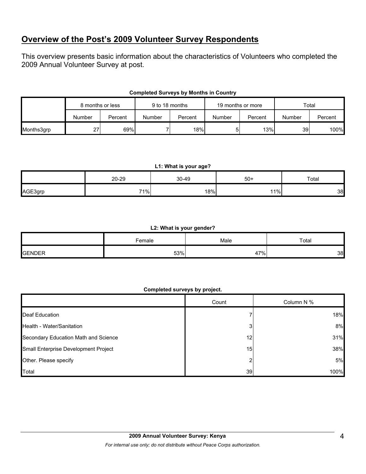## **Overview of the Post's 2009 Volunteer Survey Respondents**

This overview presents basic information about the characteristics of Volunteers who completed the 2009 Annual Volunteer Survey at post.

|            | 8 months or less |         | 9 to 18 months |         | 19 months or more |         | Total  |         |
|------------|------------------|---------|----------------|---------|-------------------|---------|--------|---------|
|            | Number           | Percent | Number         | Percent | Number            | Percent | Number | Percent |
| Months3grp | 27               | 69%     |                | 18%     | וכ                | 13%     | 39     | 100%    |

## **Completed Surveys by Months in Country**

#### **L1: What is your age?**

|         | 20-29 | 30-49 | $50+$ | Total |
|---------|-------|-------|-------|-------|
| AGE3grp | 71%   | 18%   | 11%   | 38    |

#### **L2: What is your gender?**

|               | <sup>⊧</sup> emale | Male<br>__     | Total |  |
|---------------|--------------------|----------------|-------|--|
| <b>GENDER</b> | 53%                | $17\%$<br>$+1$ | 38    |  |

### **Completed surveys by project.**

|                                      | Count           | Column N % |
|--------------------------------------|-----------------|------------|
| Deaf Education                       |                 | 18%        |
| Health - Water/Sanitation            |                 | 8%         |
| Secondary Education Math and Science | 12              | 31%        |
| Small Enterprise Development Project | 15 <sub>l</sub> | 38%        |
| Other. Please specify                |                 | 5%         |
| Total                                | 39              | 100%       |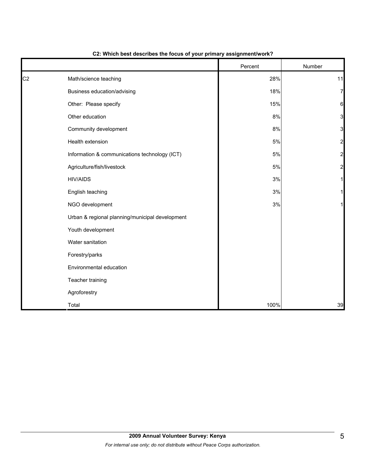|                |                                                 | Percent | Number         |
|----------------|-------------------------------------------------|---------|----------------|
| C <sub>2</sub> | Math/science teaching                           | 28%     | 11             |
|                | Business education/advising                     | 18%     | $\overline{7}$ |
|                | Other: Please specify                           | 15%     | 6              |
|                | Other education                                 | 8%      | 3              |
|                | Community development                           | 8%      | 3              |
|                | Health extension                                | $5\%$   | $\overline{a}$ |
|                | Information & communications technology (ICT)   | 5%      | $\overline{a}$ |
|                | Agriculture/fish/livestock                      | 5%      | $\overline{a}$ |
|                | <b>HIV/AIDS</b>                                 | 3%      | 1              |
|                | English teaching                                | 3%      | 1              |
|                | NGO development                                 | 3%      |                |
|                | Urban & regional planning/municipal development |         |                |
|                | Youth development                               |         |                |
|                | Water sanitation                                |         |                |
|                | Forestry/parks                                  |         |                |
|                | Environmental education                         |         |                |
|                | Teacher training                                |         |                |
|                | Agroforestry                                    |         |                |
|                | Total                                           | 100%    | 39             |

## **C2: Which best describes the focus of your primary assignment/work?**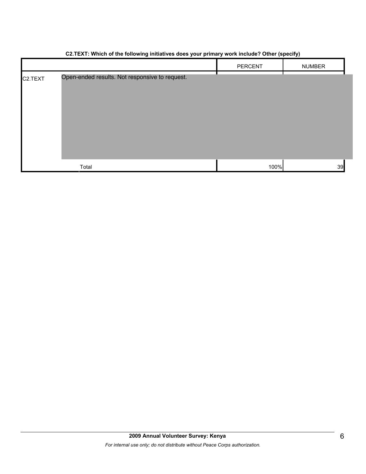|                      | ັ<br>$\sim$ $\sim$                             | $\ddot{\phantom{1}}$ | .,            |
|----------------------|------------------------------------------------|----------------------|---------------|
|                      |                                                | PERCENT              | <b>NUMBER</b> |
| C <sub>2</sub> .TEXT | Open-ended results. Not responsive to request. |                      |               |
|                      | Total                                          | 100%                 | 39            |

#### **C2.TEXT: Which of the following initiatives does your primary work include? Other (specify)**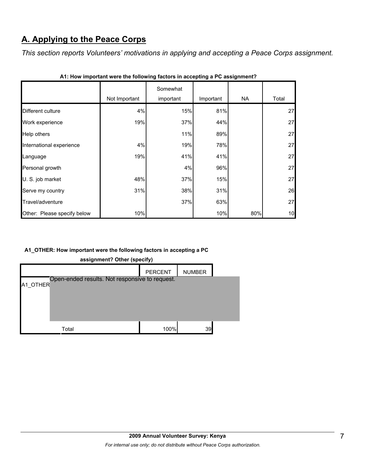# **A. Applying to the Peace Corps**

*This section reports Volunteers' motivations in applying and accepting a Peace Corps assignment.* 

|                             |               | Somewhat  |           |     |       |
|-----------------------------|---------------|-----------|-----------|-----|-------|
|                             | Not Important | important | Important | NA. | Total |
| Different culture           | 4%            | 15%       | 81%       |     | 27    |
| Work experience             | 19%           | 37%       | 44%       |     | 27    |
| Help others                 |               | 11%       | 89%       |     | 27    |
| International experience    | 4%            | 19%       | 78%       |     | 27    |
| Language                    | 19%           | 41%       | 41%       |     | 27    |
| Personal growth             |               | 4%        | 96%       |     | 27    |
| U. S. job market            | 48%           | 37%       | 15%       |     | 27    |
| Serve my country            | 31%           | 38%       | 31%       |     | 26    |
| Travel/adventure            |               | 37%       | 63%       |     | 27    |
| Other: Please specify below | 10%           |           | 10%       | 80% | 10    |

|  |  | A1: How important were the following factors in accepting a PC assignment? |
|--|--|----------------------------------------------------------------------------|
|--|--|----------------------------------------------------------------------------|

## **A1\_OTHER: How important were the following factors in accepting a PC**



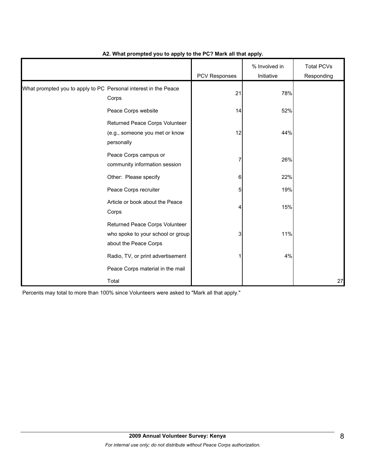|                                                                 |                                                                                              | PCV Responses | % Involved in<br>Initiative | <b>Total PCVs</b><br>Responding |
|-----------------------------------------------------------------|----------------------------------------------------------------------------------------------|---------------|-----------------------------|---------------------------------|
| What prompted you to apply to PC Personal interest in the Peace | Corps                                                                                        | 21            | 78%                         |                                 |
|                                                                 | Peace Corps website                                                                          | 14            | 52%                         |                                 |
|                                                                 | Returned Peace Corps Volunteer<br>(e.g., someone you met or know<br>personally               | 12            | 44%                         |                                 |
|                                                                 | Peace Corps campus or<br>community information session                                       | 7             | 26%                         |                                 |
|                                                                 | Other: Please specify                                                                        | 6             | 22%                         |                                 |
|                                                                 | Peace Corps recruiter                                                                        | 5             | 19%                         |                                 |
|                                                                 | Article or book about the Peace<br>Corps                                                     | 4             | 15%                         |                                 |
|                                                                 | Returned Peace Corps Volunteer<br>who spoke to your school or group<br>about the Peace Corps | 3             | 11%                         |                                 |
|                                                                 | Radio, TV, or print advertisement                                                            |               | 4%                          |                                 |
|                                                                 | Peace Corps material in the mail                                                             |               |                             |                                 |
|                                                                 | Total                                                                                        |               |                             | 27                              |

## **A2. What prompted you to apply to the PC? Mark all that apply.**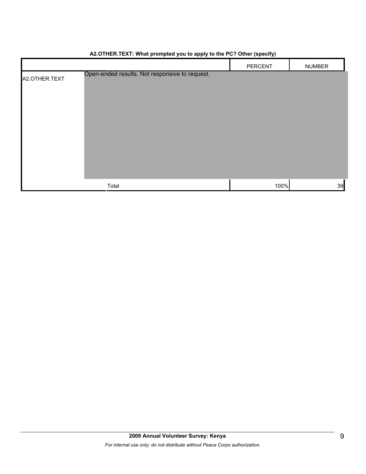|               |                                                | PERCENT | <b>NUMBER</b> |
|---------------|------------------------------------------------|---------|---------------|
| A2.OTHER.TEXT | Open-ended results. Not responsive to request. |         |               |
|               |                                                |         |               |
|               |                                                |         |               |
|               |                                                |         |               |
|               |                                                |         |               |
|               |                                                |         |               |
|               |                                                |         |               |
|               |                                                |         |               |
|               |                                                |         |               |
|               | Total                                          | 100%    | 39            |

## **A2.OTHER.TEXT: What prompted you to apply to the PC? Other (specify)**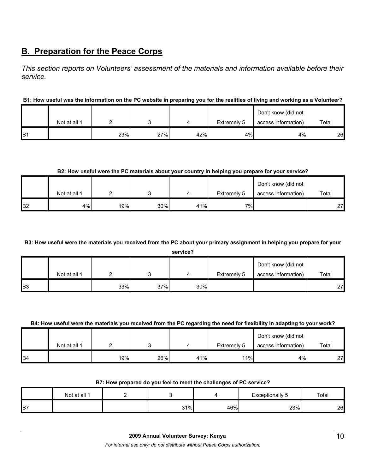# **B. Preparation for the Peace Corps**

*This section reports on Volunteers' assessment of the materials and information available before their service.* 

## **B1: How useful was the information on the PC website in preparing you for the realities of living and working as a Volunteer?**

|     |              |     |     |     | Don't know (did not |                     |       |
|-----|--------------|-----|-----|-----|---------------------|---------------------|-------|
|     | Not at all 1 |     |     |     | Extremely 5         | access information) | Total |
| ΙB1 |              | 23% | 27% | 42% | 4%                  | 4%                  | 26    |

### **B2: How useful were the PC materials about your country in helping you prepare for your service?**

|                |              |     |     |     |             | Don't know (did not |       |
|----------------|--------------|-----|-----|-----|-------------|---------------------|-------|
|                | Not at all 1 |     |     |     | Extremely 5 | access information) | Total |
| B <sub>2</sub> | 4%           | 19% | 30% | 41% | 7%          |                     | 27    |

#### **B3: How useful were the materials you received from the PC about your primary assignment in helping you prepare for your**

**service?**

|                | Not at all 1 |     |     |     | Extremely 5 | Don't know (did not<br>access information) | Total |
|----------------|--------------|-----|-----|-----|-------------|--------------------------------------------|-------|
| B <sub>3</sub> |              | 33% | 37% | 30% |             |                                            | 27    |

#### **B4: How useful were the materials you received from the PC regarding the need for flexibility in adapting to your work?**

|                | Not at all 1 |     |     |     | Extremely 5 | Don't know (did not<br>access information) | Total |
|----------------|--------------|-----|-----|-----|-------------|--------------------------------------------|-------|
| B <sub>4</sub> |              | 19% | 26% | 41% | 11%         | 4%                                         | 27    |

#### **B7: How prepared do you feel to meet the challenges of PC service?**

|                | Not at all 1 |     |     | Exceptionally<br>ت | Total |
|----------------|--------------|-----|-----|--------------------|-------|
| B <sub>7</sub> |              | 31% | 46% | 23%                | 26    |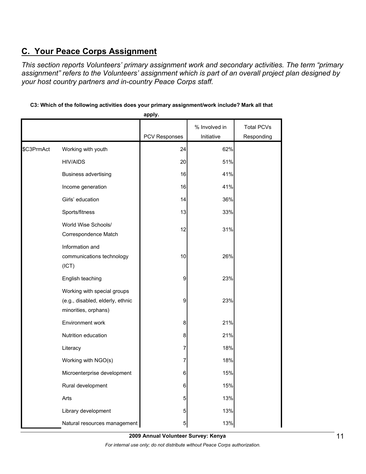# **C. Your Peace Corps Assignment**

*This section reports Volunteers' primary assignment work and secondary activities. The term "primary assignment" refers to the Volunteers' assignment which is part of an overall project plan designed by your host country partners and in-country Peace Corps staff.* 

|            |                                                                                         | appıy.        |               |                   |
|------------|-----------------------------------------------------------------------------------------|---------------|---------------|-------------------|
|            |                                                                                         |               | % Involved in | <b>Total PCVs</b> |
|            |                                                                                         | PCV Responses | Initiative    | Responding        |
| \$C3PrmAct | Working with youth                                                                      | 24            | 62%           |                   |
|            | <b>HIV/AIDS</b>                                                                         | 20            | 51%           |                   |
|            | <b>Business advertising</b>                                                             | 16            | 41%           |                   |
|            | Income generation                                                                       | 16            | 41%           |                   |
|            | Girls' education                                                                        | 14            | 36%           |                   |
|            | Sports/fitness                                                                          | 13            | 33%           |                   |
|            | World Wise Schools/<br>Correspondence Match                                             | 12            | 31%           |                   |
|            | Information and<br>communications technology<br>(ICT)                                   | 10            | 26%           |                   |
|            | English teaching                                                                        | 9             | 23%           |                   |
|            | Working with special groups<br>(e.g., disabled, elderly, ethnic<br>minorities, orphans) | 9             | 23%           |                   |
|            | Environment work                                                                        | 8             | 21%           |                   |
|            | Nutrition education                                                                     | 8             | 21%           |                   |
|            | Literacy                                                                                | 7             | 18%           |                   |
|            | Working with NGO(s)                                                                     | 7             | 18%           |                   |
|            | Microenterprise development                                                             | 6             | 15%           |                   |
|            | Rural development                                                                       | 6             | 15%           |                   |
|            | Arts                                                                                    | 5             | 13%           |                   |
|            | Library development                                                                     | 5             | 13%           |                   |
|            | Natural resources management                                                            | 5             | 13%           |                   |

## **C3: Which of the following activities does your primary assignment/work include? Mark all that**

**apply.**

**2009 Annual Volunteer Survey: Kenya** 

*For internal use only; do not distribute without Peace Corps authorization.*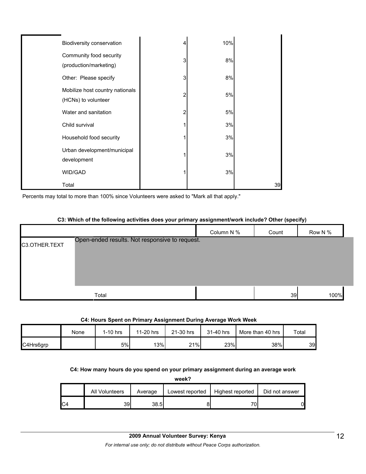| Biodiversity conservation                              | 4 | 10% |    |
|--------------------------------------------------------|---|-----|----|
| Community food security<br>(production/marketing)      | 3 | 8%  |    |
| Other: Please specify                                  | 3 | 8%  |    |
| Mobilize host country nationals<br>(HCNs) to volunteer | 2 | 5%  |    |
| Water and sanitation                                   | 2 | 5%  |    |
| Child survival                                         |   | 3%  |    |
| Household food security                                |   | 3%  |    |
| Urban development/municipal<br>development             |   | 3%  |    |
| WID/GAD                                                |   | 3%  |    |
| Total                                                  |   |     | 39 |

Percents may total to more than 100% since Volunteers were asked to "Mark all that apply."

#### **C3: Which of the following activities does your primary assignment/work include? Other (specify)**

|               |                                                | Column N % | Count | Row N % |  |
|---------------|------------------------------------------------|------------|-------|---------|--|
| C3.OTHER.TEXT | Open-ended results. Not responsive to request. |            |       |         |  |
|               | Total                                          |            | 39    | 100%    |  |

#### **C4: Hours Spent on Primary Assignment During Average Work Week**

|           | None | $1-10$ hrs | 11-20 hrs | 21-30 hrs | 31-40 hrs | More than 40 hrs | Total |
|-----------|------|------------|-----------|-----------|-----------|------------------|-------|
| C4Hrs6grp |      | 5%         | 13%       | 21%       | 23%       | 38%              | 39    |

### **C4: How many hours do you spend on your primary assignment during an average work**

**week?**

|    | All Volunteers | Average | Lowest reported | Highest reported | Did not answer |
|----|----------------|---------|-----------------|------------------|----------------|
| C4 | 39             | 38.5I   |                 |                  | 01             |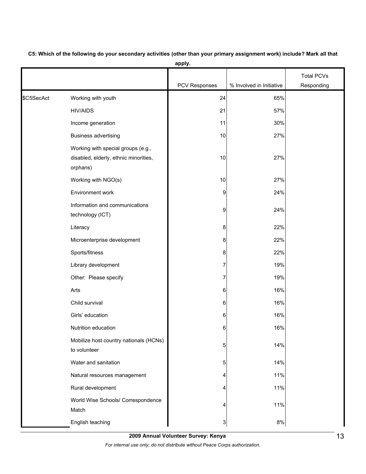|            |                                                                                         |               |                          | <b>Total PCVs</b> |
|------------|-----------------------------------------------------------------------------------------|---------------|--------------------------|-------------------|
|            |                                                                                         | PCV Responses | % Involved in Initiative | Responding        |
| \$C5SecAct | Working with youth                                                                      | 24            | 65%                      |                   |
|            | <b>HIV/AIDS</b>                                                                         | 21            | 57%                      |                   |
|            | Income generation                                                                       | 11            | 30%                      |                   |
|            | <b>Business advertising</b>                                                             | 10            | 27%                      |                   |
|            | Working with special groups (e.g.,<br>disabled, elderly, ethnic minorities,<br>orphans) | 10            | 27%                      |                   |
|            | Working with NGO(s)                                                                     | 10            | 27%                      |                   |
|            | Environment work                                                                        | 9             | 24%                      |                   |
|            | Information and communications<br>technology (ICT)                                      | 9             | 24%                      |                   |
|            | Literacy                                                                                | 8             | 22%                      |                   |
|            | Microenterprise development                                                             | 8             | 22%                      |                   |
|            | Sports/fitness                                                                          | 8             | 22%                      |                   |
|            | Library development                                                                     | 7             | 19%                      |                   |
|            | Other: Please specify                                                                   | 7             | 19%                      |                   |
|            | Arts                                                                                    | 6             | 16%                      |                   |
|            | Child survival                                                                          | 6             | 16%                      |                   |
|            | Girls' education                                                                        | 6             | 16%                      |                   |
|            | Nutrition education                                                                     | 6             | 16%                      |                   |
|            | Mobilize host country nationals (HCNs)<br>to volunteer                                  | 5             | 14%                      |                   |
|            | Water and sanitation                                                                    | 5             | 14%                      |                   |
|            | Natural resources management                                                            | 4             | 11%                      |                   |
|            | Rural development                                                                       | 4             | 11%                      |                   |
|            | World Wise Schools/ Correspondence<br>Match                                             | 4             | 11%                      |                   |
|            | English teaching                                                                        | 3             | 8%                       |                   |

**C5: Which of the following do your secondary activities (other than your primary assignment work) include? Mark all that** 

**apply.**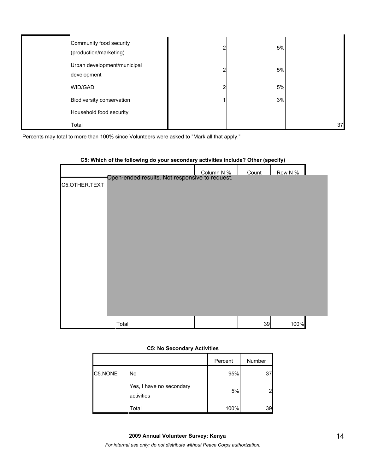| Community food security<br>(production/marketing) | 5% |    |
|---------------------------------------------------|----|----|
| Urban development/municipal<br>development        | 5% |    |
| WID/GAD                                           | 5% |    |
| Biodiversity conservation                         | 3% |    |
| Household food security                           |    |    |
| Total                                             |    | 37 |

Percents may total to more than 100% since Volunteers were asked to "Mark all that apply."

|               | oo: millon of the following as your cocontaily activities include: Gther (opeenly) |       |         |  |
|---------------|------------------------------------------------------------------------------------|-------|---------|--|
|               | Column N %<br>Open-ended results. Not responsive to request.                       | Count | Row N % |  |
|               |                                                                                    |       |         |  |
| C5.OTHER.TEXT |                                                                                    |       |         |  |
|               |                                                                                    |       |         |  |
|               |                                                                                    |       |         |  |
|               |                                                                                    |       |         |  |
|               |                                                                                    |       |         |  |
|               |                                                                                    |       |         |  |
|               |                                                                                    |       |         |  |
|               |                                                                                    |       |         |  |
|               |                                                                                    |       |         |  |
|               |                                                                                    |       |         |  |
|               |                                                                                    |       |         |  |
|               |                                                                                    |       |         |  |
|               |                                                                                    |       |         |  |
|               |                                                                                    |       |         |  |
|               |                                                                                    |       |         |  |
|               |                                                                                    |       |         |  |
|               | Total                                                                              | 39    | 100%    |  |

## **C5: Which of the following do your secondary activities include? Other (specify)**

#### **C5: No Secondary Activities**

|         |                                        | Percent | Number |
|---------|----------------------------------------|---------|--------|
| C5.NONE | No                                     | 95%     | 37     |
|         | Yes, I have no secondary<br>activities | 5%      |        |
|         | Total                                  | 100%    | 39     |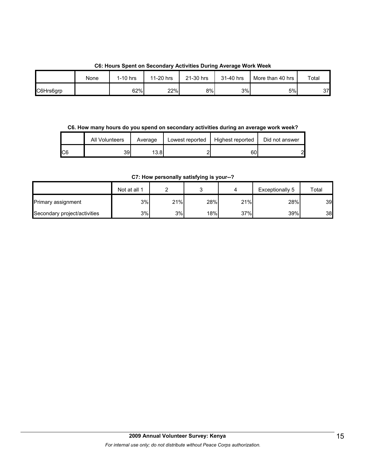| Co. Hours Spent on Secondary Activities During Average Work Week |            |           |           |           |                  |       |  |  |
|------------------------------------------------------------------|------------|-----------|-----------|-----------|------------------|-------|--|--|
| None                                                             | $1-10$ hrs | 11-20 hrs | 21-30 hrs | 31-40 hrs | More than 40 hrs | Total |  |  |
|                                                                  |            |           |           |           |                  |       |  |  |

## **C6: Hours Spent on Secondary Activities During Average Work Week**

C6Hrs6grp | | 62%| 22% 8% 3% 3% 5% 37

**C6. How many hours do you spend on secondary activities during an average work week?**

|     | All Volunteers | Average | Lowest reported | Highest reported | Did not answer |
|-----|----------------|---------|-----------------|------------------|----------------|
| IC6 | 39             | 13.81   |                 | 601              | C              |

## **C7: How personally satisfying is your--?**

|                              | Not at all 1 |     |     |     | Exceptionally 5 | Total |
|------------------------------|--------------|-----|-----|-----|-----------------|-------|
| Primary assignment           | 3%           | 21% | 28% | 21% | 28%             | 39    |
| Secondary project/activities | 3%           | 3%  | 18% | 37% | 39%             | 38    |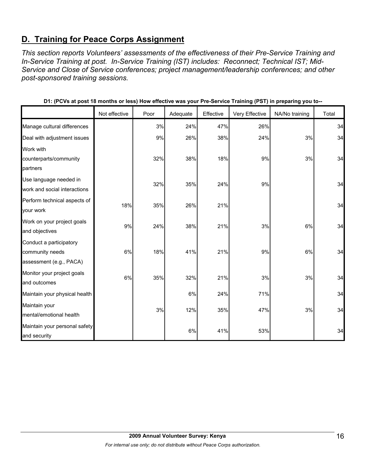# **D. Training for Peace Corps Assignment**

*This section reports Volunteers' assessments of the effectiveness of their Pre-Service Training and In-Service Training at post. In-Service Training (IST) includes: Reconnect; Technical IST; Mid-Service and Close of Service conferences; project management/leadership conferences; and other post-sponsored training sessions.* 

|                               |               |      |          |           | ັ່             | - 11<br>ິ      |       |
|-------------------------------|---------------|------|----------|-----------|----------------|----------------|-------|
|                               | Not effective | Poor | Adequate | Effective | Very Effective | NA/No training | Total |
| Manage cultural differences   |               | 3%   | 24%      | 47%       | 26%            |                | 34    |
| Deal with adjustment issues   |               | 9%   | 26%      | 38%       | 24%            | 3%             | 34    |
| Work with                     |               |      |          |           |                |                |       |
| counterparts/community        |               | 32%  | 38%      | 18%       | 9%             | 3%             | 34    |
| partners                      |               |      |          |           |                |                |       |
| Use language needed in        |               | 32%  | 35%      | 24%       | 9%             |                | 34    |
| work and social interactions  |               |      |          |           |                |                |       |
| Perform technical aspects of  | 18%           | 35%  | 26%      | 21%       |                |                | 34    |
| your work                     |               |      |          |           |                |                |       |
| Work on your project goals    | 9%            |      |          | 21%       |                |                | 34    |
| and objectives                |               | 24%  | 38%      |           | 3%             | 6%             |       |
| Conduct a participatory       |               |      |          |           |                |                |       |
| community needs               | 6%            | 18%  | 41%      | 21%       | 9%             | 6%             | 34    |
| assessment (e.g., PACA)       |               |      |          |           |                |                |       |
| Monitor your project goals    | 6%            | 35%  | 32%      | 21%       | 3%             | 3%             | 34    |
| and outcomes                  |               |      |          |           |                |                |       |
| Maintain your physical health |               |      | 6%       | 24%       | 71%            |                | 34    |
| Maintain your                 |               |      |          |           |                |                | 34    |
| mental/emotional health       |               | 3%   | 12%      | 35%       | 47%            | 3%             |       |
| Maintain your personal safety |               |      |          |           |                |                |       |
| and security                  |               |      | 6%       | 41%       | 53%            |                | 34    |

**D1: (PCVs at post 18 months or less) How effective was your Pre-Service Training (PST) in preparing you to--**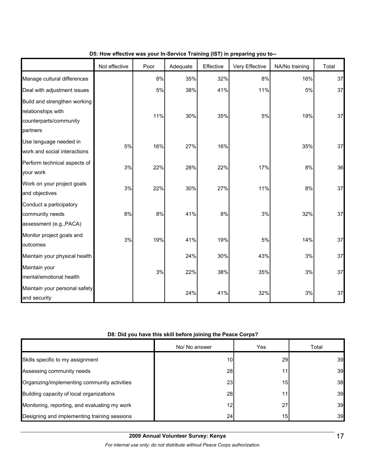|                                                                                          | Not effective | Poor  | Adequate | Effective | $\frac{1}{2}$ is the mass from the control training (i.e. i) in properting from the<br>Very Effective | NA/No training | Total |
|------------------------------------------------------------------------------------------|---------------|-------|----------|-----------|-------------------------------------------------------------------------------------------------------|----------------|-------|
| Manage cultural differences                                                              |               | 8%    | 35%      | 32%       | 8%                                                                                                    | 16%            | 37    |
| Deal with adjustment issues                                                              |               | 5%    | 38%      | 41%       | 11%                                                                                                   | 5%             | 37    |
| Build and strengthen working<br>relationships with<br>counterparts/community<br>partners |               | 11%   | 30%      | 35%       | 5%                                                                                                    | 19%            | 37    |
| Use language needed in<br>work and social interactions                                   | 5%            | 16%   | 27%      | 16%       |                                                                                                       | 35%            | 37    |
| Perform technical aspects of<br>your work                                                | 3%            | 22%   | 28%      | 22%       | 17%                                                                                                   | 8%             | 36    |
| Work on your project goals<br>and objectives                                             | 3%            | 22%   | 30%      | 27%       | 11%                                                                                                   | 8%             | 37    |
| Conduct a participatory<br>community needs<br>assessment (e.g., PACA)                    | 8%            | $8\%$ | 41%      | 8%        | 3%                                                                                                    | 32%            | 37    |
| Monitor project goals and<br>outcomes                                                    | 3%            | 19%   | 41%      | 19%       | 5%                                                                                                    | 14%            | 37    |
| Maintain your physical health                                                            |               |       | 24%      | 30%       | 43%                                                                                                   | 3%             | 37    |
| Maintain your<br>mental/emotional health                                                 |               | 3%    | 22%      | 38%       | 35%                                                                                                   | 3%             | 37    |
| Maintain your personal safety<br>and security                                            |               |       | 24%      | 41%       | 32%                                                                                                   | 3%             | 37    |

## **D5: How effective was your In-Service Training (IST) in preparing you to--**

## **D8: Did you have this skill before joining the Peace Corps?**

|                                               | No/ No answer   | <b>Yes</b>      | Total |
|-----------------------------------------------|-----------------|-----------------|-------|
| Skills specific to my assignment              | 10 <sub>1</sub> | <b>29</b>       | 39    |
| Assessing community needs                     | 28              | 11 <sub>1</sub> | 39    |
| Organizing/implementing community activities  | 23              | 15              | 38    |
| Building capacity of local organizations      | 28              | 11.             | 39    |
| Monitoring, reporting, and evaluating my work | 12              | 27              | 39    |
| Designing and implementing training sessions  | 24              | 15              | 39    |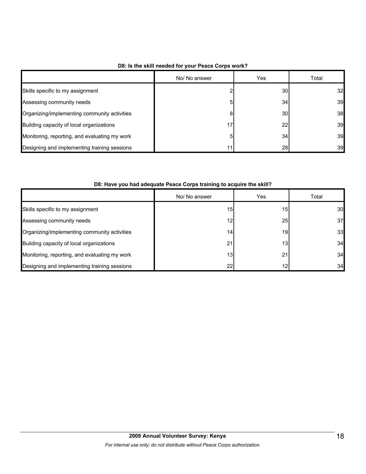|                                               | No/ No answer | Yes | Total |
|-----------------------------------------------|---------------|-----|-------|
| Skills specific to my assignment              |               | 30  | 32    |
| Assessing community needs                     | 5             | 34  | 39    |
| Organizing/implementing community activities  | 8             | 30  | 38    |
| Building capacity of local organizations      | 17            | 22  | 39    |
| Monitoring, reporting, and evaluating my work | 5             | 34  | 39    |
| Designing and implementing training sessions  | 11            | 28  | 39    |

## **D8: Is the skill needed for your Peace Corps work?**

## **D8: Have you had adequate Peace Corps training to acquire the skill?**

|                                               | No/ No answer   | Yes             | Total |
|-----------------------------------------------|-----------------|-----------------|-------|
| Skills specific to my assignment              | 15 <sub>1</sub> | 15              | 30    |
| Assessing community needs                     | 12 <sub>1</sub> | 25              | 37    |
| Organizing/implementing community activities  | 14.             | 19              | 33    |
| Building capacity of local organizations      | 21              | 13 <sub>1</sub> | 34    |
| Monitoring, reporting, and evaluating my work | 13 <sub>1</sub> | 21              | 34    |
| Designing and implementing training sessions  | 22              |                 | 34    |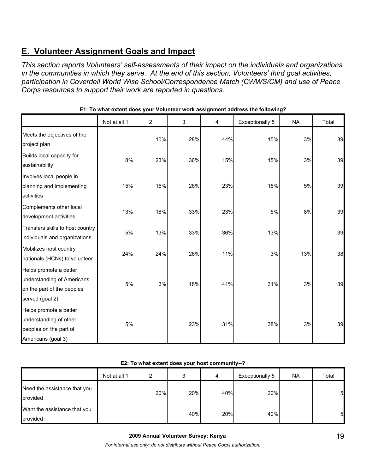# **E. Volunteer Assignment Goals and Impact**

*This section reports Volunteers' self-assessments of their impact on the individuals and organizations in the communities in which they serve. At the end of this section, Volunteers' third goal activities, participation in Coverdell World Wise School/Correspondence Match (CWWS/CM) and use of Peace Corps resources to support their work are reported in questions.* 

|                                                                                                       | Not at all 1 | $\overline{2}$ | 3   | 4   | Exceptionally 5 | <b>NA</b> | Total |
|-------------------------------------------------------------------------------------------------------|--------------|----------------|-----|-----|-----------------|-----------|-------|
| Meets the objectives of the<br>project plan                                                           |              | 10%            | 28% | 44% | 15%             | 3%        | 39    |
| Builds local capacity for<br>sustainability                                                           | 8%           | 23%            | 36% | 15% | 15%             | 3%        | 39    |
| Involves local people in<br>planning and implementing<br>activities                                   | 15%          | 15%            | 26% | 23% | 15%             | 5%        | 39    |
| Complements other local<br>development activities                                                     | 13%          | 18%            | 33% | 23% | 5%              | $8\%$     | 39    |
| Transfers skills to host country<br>individuals and organizations                                     | 5%           | 13%            | 33% | 36% | 13%             |           | 39    |
| Mobilizes host country<br>nationals (HCNs) to volunteer                                               | 24%          | 24%            | 26% | 11% | 3%              | 13%       | 38    |
| Helps promote a better<br>understanding of Americans<br>on the part of the peoples<br>served (goal 2) | 5%           | 3%             | 18% | 41% | 31%             | 3%        | 39    |
| Helps promote a better<br>understanding of other<br>peoples on the part of<br>Americans (goal 3)      | 5%           |                | 23% | 31% | 38%             | 3%        | 39    |

## **E1: To what extent does your Volunteer work assignment address the following?**

## **E2: To what extent does your host community--?**

|                                          | Not at all 1 | ົ   | ົ<br>s. | 4   | Exceptionally 5 | NA. | Total           |
|------------------------------------------|--------------|-----|---------|-----|-----------------|-----|-----------------|
| Need the assistance that you<br>provided |              | 20% | 20%     | 40% | 20%             |     | $5\overline{a}$ |
| Want the assistance that you<br>provided |              |     | 40%     | 20% | 40%             |     | $5\overline{a}$ |

*For internal use only; do not distribute without Peace Corps authorization.*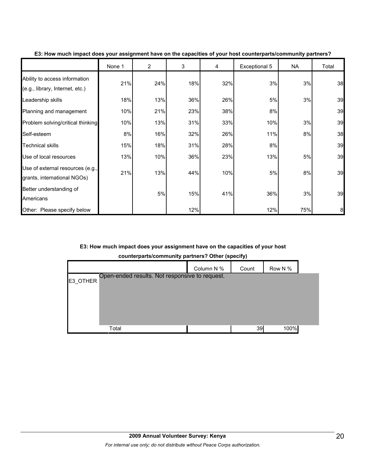|                                                                  | None 1 | $\overline{2}$ | 3   | 4   | Exceptional 5 | NA  | Total |
|------------------------------------------------------------------|--------|----------------|-----|-----|---------------|-----|-------|
| Ability to access information<br>(e.g., library, Internet, etc.) | 21%    | 24%            | 18% | 32% | 3%            | 3%  | 38    |
| Leadership skills                                                | 18%    | 13%            | 36% | 26% | 5%            | 3%  | 39    |
| Planning and management                                          | 10%    | 21%            | 23% | 38% | 8%            |     | 39    |
| Problem solving/critical thinking                                | 10%    | 13%            | 31% | 33% | 10%           | 3%  | 39    |
| Self-esteem                                                      | 8%     | 16%            | 32% | 26% | 11%           | 8%  | 38    |
| <b>Technical skills</b>                                          | 15%    | 18%            | 31% | 28% | 8%            |     | 39    |
| Use of local resources                                           | 13%    | 10%            | 36% | 23% | 13%           | 5%  | 39    |
| Use of external resources (e.g.,<br>grants, international NGOs)  | 21%    | 13%            | 44% | 10% | 5%            | 8%  | 39    |
| Better understanding of<br>Americans                             |        | 5%             | 15% | 41% | 36%           | 3%  | 39    |
| Other: Please specify below                                      |        |                | 12% |     | 12%           | 75% | 8     |

**E3: How much impact does your assignment have on the capacities of your host counterparts/community partners?**

## **E3: How much impact does your assignment have on the capacities of your host**

**counterparts/community partners? Other (specify)**

|          |                                                | Column N % | Count | Row N % |  |
|----------|------------------------------------------------|------------|-------|---------|--|
| E3 OTHER | Open-ended results. Not responsive to request. |            |       |         |  |
|          |                                                |            |       |         |  |
|          |                                                |            |       |         |  |
|          |                                                |            |       |         |  |
|          | Total                                          |            | 39    | 100%    |  |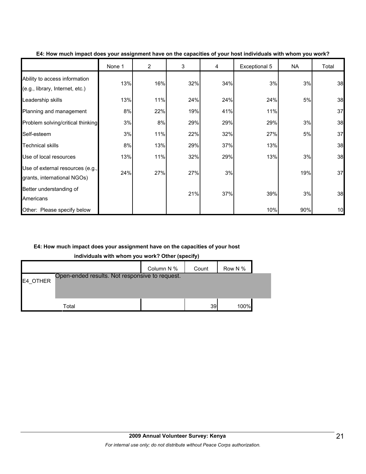|                                                                  | None 1 | $\overline{2}$ | 3   | 4   | Exceptional 5 | NA  | Total |
|------------------------------------------------------------------|--------|----------------|-----|-----|---------------|-----|-------|
| Ability to access information<br>(e.g., library, Internet, etc.) | 13%    | 16%            | 32% | 34% | 3%            | 3%  | 38    |
| Leadership skills                                                | 13%    | 11%            | 24% | 24% | 24%           | 5%  | 38    |
| Planning and management                                          | 8%     | 22%            | 19% | 41% | 11%           |     | 37    |
| Problem solving/critical thinking                                | 3%     | 8%             | 29% | 29% | 29%           | 3%  | 38    |
| Self-esteem                                                      | 3%     | 11%            | 22% | 32% | 27%           | 5%  | 37    |
| <b>Technical skills</b>                                          | 8%     | 13%            | 29% | 37% | 13%           |     | 38    |
| Use of local resources                                           | 13%    | 11%            | 32% | 29% | 13%           | 3%  | 38    |
| Use of external resources (e.g.,<br>grants, international NGOs)  | 24%    | 27%            | 27% | 3%  |               | 19% | 37    |
| Better understanding of<br>Americans                             |        |                | 21% | 37% | 39%           | 3%  | 38    |
| Other: Please specify below                                      |        |                |     |     | 10%           | 90% | 10    |

#### **E4: How much impact does your assignment have on the capacities of your host individuals with whom you work?**

## **E4: How much impact does your assignment have on the capacities of your host**

**individuals with whom you work? Other (specify)**

|          |                                                | Column N % | Count | Row N % |  |
|----------|------------------------------------------------|------------|-------|---------|--|
| E4 OTHER | Open-ended results. Not responsive to request. |            |       |         |  |
|          |                                                |            |       |         |  |
|          | Total                                          |            | 39    | 100%    |  |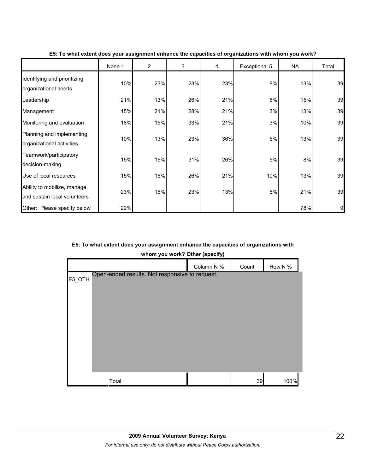|                                                              | None 1 | $\overline{2}$ | 3   | 4   | Exceptional 5 | NA  | Total |
|--------------------------------------------------------------|--------|----------------|-----|-----|---------------|-----|-------|
| Identifying and prioritizing<br>organizational needs         | 10%    | 23%            | 23% | 23% | 8%            | 13% | 39    |
| Leadership                                                   | 21%    | 13%            | 26% | 21% | 5%            | 15% | 39    |
| Management                                                   | 15%    | 21%            | 28% | 21% | 3%            | 13% | 39    |
| Monitoring and evaluation                                    | 18%    | 15%            | 33% | 21% | 3%            | 10% | 39    |
| Planning and implementing<br>organizational activities       | 10%    | 13%            | 23% | 36% | 5%            | 13% | 39    |
| Teamwork/participatory<br>decision-making                    | 15%    | 15%            | 31% | 26% | 5%            | 8%  | 39    |
| Use of local resources                                       | 15%    | 15%            | 26% | 21% | 10%           | 13% | 39    |
| Ability to mobilize, manage,<br>and sustain local volunteers | 23%    | 15%            | 23% | 13% | 5%            | 21% | 39    |
| Other: Please specify below                                  | 22%    |                |     |     |               | 78% | 9     |

**E5: To what extent does your assignment enhance the capacities of organizations with whom you work?**

## **E5: To what extent does your assignment enhance the capacities of organizations with**

**whom you work? Other (specify)**

|                                                          | Column N % | Count | Row N % |
|----------------------------------------------------------|------------|-------|---------|
| Open-ended results. Not responsive to request.<br>E5_OTH |            |       |         |
|                                                          |            |       |         |
|                                                          |            |       |         |
|                                                          |            |       |         |
|                                                          |            |       |         |
|                                                          |            |       |         |
|                                                          |            |       |         |
|                                                          |            |       |         |
| Total                                                    |            | 39    | 100%    |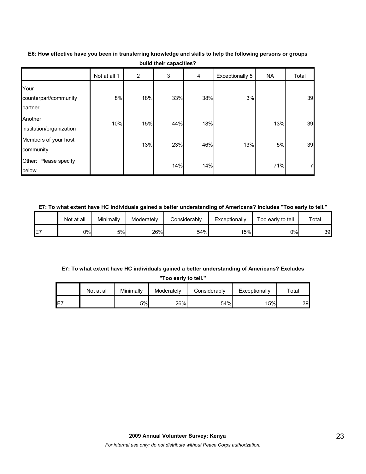|                                          | Not at all 1 | $\overline{2}$ | 3   | 4   | Exceptionally 5 | NA  | Total          |
|------------------------------------------|--------------|----------------|-----|-----|-----------------|-----|----------------|
| Your<br>counterpart/community<br>partner | 8%           | 18%            | 33% | 38% | 3%              |     | 39             |
| Another<br>institution/organization      | 10%          | 15%            | 44% | 18% |                 | 13% | 39             |
| Members of your host<br>community        |              | 13%            | 23% | 46% | 13%             | 5%  | 39             |
| Other: Please specify<br>below           |              |                | 14% | 14% |                 | 71% | $\overline{7}$ |

**E6: How effective have you been in transferring knowledge and skills to help the following persons or groups build their capacities?**

#### **E7: To what extent have HC individuals gained a better understanding of Americans? Includes "Too early to tell."**

|     | Not at all | Minimally | Moderately | Considerably | Exceptionally | Γοο early to tell | $\tau$ otal |
|-----|------------|-----------|------------|--------------|---------------|-------------------|-------------|
| IE7 | 0%l        | 5%        | 26%        | 54%          | 15%           | 0%l               | 39          |

## **E7: To what extent have HC individuals gained a better understanding of Americans? Excludes**

**"Too early to tell."**

|     | Not at all | Minimally | Moderately | Considerably | Exceptionally | ⊤otal |
|-----|------------|-----------|------------|--------------|---------------|-------|
| IE7 |            | 5%        | 26%        | 54%          | 15%           | 39    |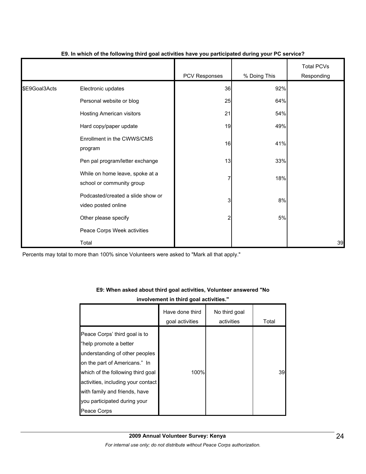|               |                                                              | PCV Responses | % Doing This | <b>Total PCVs</b><br>Responding |
|---------------|--------------------------------------------------------------|---------------|--------------|---------------------------------|
| \$E9Goal3Acts | Electronic updates                                           | 36            | 92%          |                                 |
|               | Personal website or blog                                     | 25            | 64%          |                                 |
|               | <b>Hosting American visitors</b>                             | 21            | 54%          |                                 |
|               | Hard copy/paper update                                       | 19            | 49%          |                                 |
|               | Enrollment in the CWWS/CMS<br>program                        | 16            | 41%          |                                 |
|               | Pen pal program/letter exchange                              | 13            | 33%          |                                 |
|               | While on home leave, spoke at a<br>school or community group | 7             | 18%          |                                 |
|               | Podcasted/created a slide show or<br>video posted online     | 3             | 8%           |                                 |
|               | Other please specify                                         | 2             | 5%           |                                 |
|               | Peace Corps Week activities                                  |               |              |                                 |
|               | Total                                                        |               |              | 39                              |

### **E9. In which of the following third goal activities have you participated during your PC service?**

Percents may total to more than 100% since Volunteers were asked to "Mark all that apply."

## **E9: When asked about third goal activities, Volunteer answered "No involvement in third goal activities."**

|                                                                                                                                                                                                                                                                        | Have done third<br>goal activities | No third goal<br>activities | Total |
|------------------------------------------------------------------------------------------------------------------------------------------------------------------------------------------------------------------------------------------------------------------------|------------------------------------|-----------------------------|-------|
| Peace Corps' third goal is to<br>"help promote a better<br>understanding of other peoples<br>on the part of Americans." In<br>which of the following third goal<br>activities, including your contact<br>with family and friends, have<br>you participated during your | 100%                               |                             | 39    |
| Peace Corps                                                                                                                                                                                                                                                            |                                    |                             |       |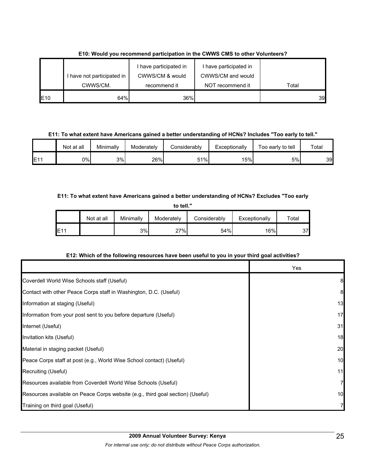|                 | I have not participated in | I have participated in<br>CWWS/CM & would | I have participated in<br>CWWS/CM and would |       |
|-----------------|----------------------------|-------------------------------------------|---------------------------------------------|-------|
|                 | CWWS/CM.                   | recommend it                              | NOT recommend it                            | Total |
| E <sub>10</sub> | 64%                        | 36%                                       |                                             | 39    |

## **E10: Would you recommend participation in the CWWS CMS to other Volunteers?**

**E11: To what extent have Americans gained a better understanding of HCNs? Includes "Too early to tell."**

|     | Not at all | Minimally | Moderatelv | Considerably | Exceptionally | Too early to tell | Total |
|-----|------------|-----------|------------|--------------|---------------|-------------------|-------|
| E11 | 0%l        | 3%        | 26%        | 51%          | 15%           | 5%                | 39    |

## **E11: To what extent have Americans gained a better understanding of HCNs? Excludes "Too early**

| to tell."   |            |           |            |              |               |       |  |  |
|-------------|------------|-----------|------------|--------------|---------------|-------|--|--|
|             | Not at all | Minimally | Moderately | Considerably | Exceptionally | Total |  |  |
| <b>IE11</b> |            | 3%        | 27%        | 54%          | 16%           | 37    |  |  |

## **E12: Which of the following resources have been useful to you in your third goal activities?**

|                                                                                | Yes |
|--------------------------------------------------------------------------------|-----|
| Coverdell World Wise Schools staff (Useful)                                    | 8   |
| Contact with other Peace Corps staff in Washington, D.C. (Useful)              | 8   |
| Information at staging (Useful)                                                | 13  |
| Information from your post sent to you before departure (Useful)               | 17  |
| Internet (Useful)                                                              | 31  |
| Invitation kits (Useful)                                                       | 18  |
| Material in staging packet (Useful)                                            | 20  |
| Peace Corps staff at post (e.g., World Wise School contact) (Useful)           | 10  |
| Recruiting (Useful)                                                            | 11  |
| Resources available from Coverdell World Wise Schools (Useful)                 | 7   |
| Resources available on Peace Corps website (e.g., third goal section) (Useful) | 10  |
| Training on third goal (Useful)                                                |     |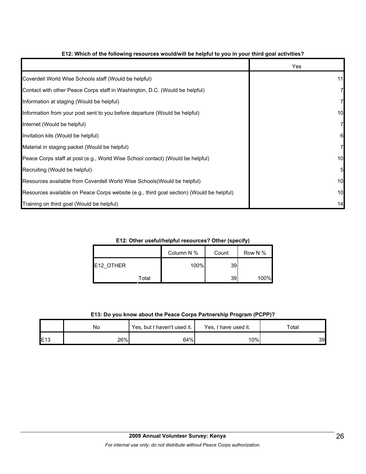|                                                                                          | Yes |
|------------------------------------------------------------------------------------------|-----|
| Coverdell World Wise Schools staff (Would be helpful)                                    | 11  |
| Contact with other Peace Corps staff in Washington, D.C. (Would be helpful)              |     |
| Information at staging (Would be helpful)                                                |     |
| Information from your post sent to you before departure (Would be helpful)               | 10  |
| Internet (Would be helpful)                                                              |     |
| Invitation kits (Would be helpful)                                                       | 6   |
| Material in staging packet (Would be helpful)                                            |     |
| Peace Corps staff at post (e.g., World Wise School contact) (Would be helpful)           | 10  |
| Recruiting (Would be helpful)                                                            | 5   |
| Resources available from Coverdell World Wise Schools (Would be helpful)                 | 10  |
| Resources available on Peace Corps website (e.g., third goal section) (Would be helpful) | 10  |
| Training on third goal (Would be helpful)                                                | 14  |

## **E12: Which of the following resources would/will be helpful to you in your third goal activities?**

**E12: Other useful/helpful resources? Other (specify)**

|           |       | Column N % | Count | Row N % |
|-----------|-------|------------|-------|---------|
| E12 OTHER |       | 100%       | 39    |         |
|           | Total |            | 39    | 100%    |

## **E13: Do you know about the Peace Corps Partnership Program (PCPP)?**

|                 | No  | Yes, but I haven't used it. | Yes, I have used it. | Total |
|-----------------|-----|-----------------------------|----------------------|-------|
| E <sub>13</sub> | 26% | 64%                         | 10%                  | 39    |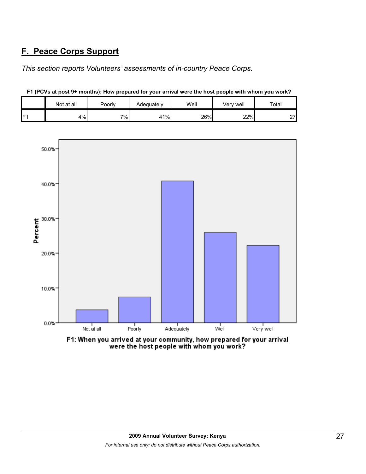## **F. Peace Corps Support**

*This section reports Volunteers' assessments of in-country Peace Corps.* 

|                | Not at all | Poorly | Adequately | Well | Very well | Total        |
|----------------|------------|--------|------------|------|-----------|--------------|
| F <sub>1</sub> | 4%         | $7\%$  | 41%        | 26%  | 22%       | ົາ<br>$\sim$ |

**F1 (PCVs at post 9+ months): How prepared for your arrival were the host people with whom you work?**



F1: When you arrived at your community, how prepared for your arrival were the host people with whom you work?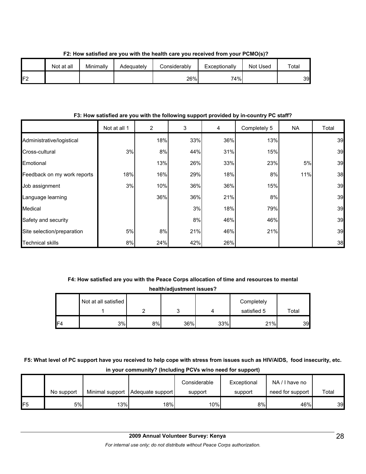|     | Not at all | Minimally | Adequately | Considerably | Exceptionally | Not Used | Total |
|-----|------------|-----------|------------|--------------|---------------|----------|-------|
| IF2 |            |           |            | 26%          | 74%           |          | 39    |

**F2: How satisfied are you with the health care you received from your PCMO(s)?**

## **F3: How satisfied are you with the following support provided by in-country PC staff?**

|                             | Not at all 1 | $\overline{2}$ | 3   | 4   | Completely 5 | <b>NA</b> | Total |
|-----------------------------|--------------|----------------|-----|-----|--------------|-----------|-------|
| Administrative/logistical   |              | 18%            | 33% | 36% | 13%          |           | 39    |
| Cross-cultural              | 3%           | 8%             | 44% | 31% | 15%          |           | 39    |
| Emotional                   |              | 13%            | 26% | 33% | 23%          | 5%        | 39    |
| Feedback on my work reports | 18%          | 16%            | 29% | 18% | 8%           | 11%       | 38    |
| Job assignment              | 3%           | 10%            | 36% | 36% | 15%          |           | 39    |
| Language learning           |              | 36%            | 36% | 21% | 8%           |           | 39    |
| Medical                     |              |                | 3%  | 18% | 79%          |           | 39    |
| Safety and security         |              |                | 8%  | 46% | 46%          |           | 39    |
| Site selection/preparation  | 5%           | 8%             | 21% | 46% | 21%          |           | 39    |
| <b>Technical skills</b>     | 8%           | 24%            | 42% | 26% |              |           | 38    |

# **F4: How satisfied are you with the Peace Corps allocation of time and resources to mental**

**health/adjustment issues?**

|                | Not at all satisfied |    |     |     | Completely  |       |
|----------------|----------------------|----|-----|-----|-------------|-------|
|                |                      |    | ັ   |     | satisfied 5 | Total |
| F <sub>4</sub> | 3%                   | 8% | 36% | 33% | 21%         | 39    |

## **F5: What level of PC support have you received to help cope with stress from issues such as HIV/AIDS, food insecurity, etc. in your community? (Including PCVs w/no need for support)**

|     | No support | Minimal support | Adequate support | Considerable<br>support | Exceptional<br>support | NA/I have no<br>need for support | Total |
|-----|------------|-----------------|------------------|-------------------------|------------------------|----------------------------------|-------|
| IF5 | 5%         | 13%             | 18%।             | 10%                     | 8%                     | 46%                              | 39    |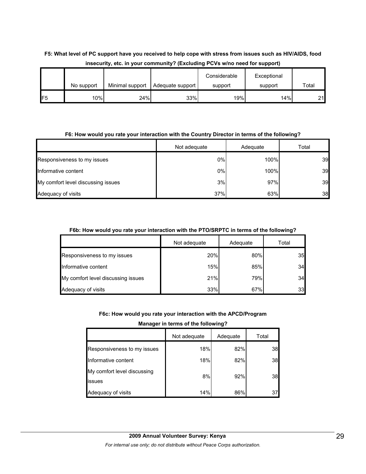## **F5: What level of PC support have you received to help cope with stress from issues such as HIV/AIDS, food insecurity, etc. in your community? (Excluding PCVs w/no need for support)**

|     |            |                 |                  | Considerable | Exceptional |       |
|-----|------------|-----------------|------------------|--------------|-------------|-------|
|     | No support | Minimal support | Adequate support | support      | support     | Total |
| IF5 | 10%        | 24%             | 33%              | 19%          | 14%         | 21    |

#### **F6: How would you rate your interaction with the Country Director in terms of the following?**

|                                    | Not adequate | Adequate | Total |
|------------------------------------|--------------|----------|-------|
| Responsiveness to my issues        | 0%           | 100%     | 39    |
| Informative content                | 0%           | 100%     | 39    |
| My comfort level discussing issues | 3%           | 97%      | 39    |
| Adequacy of visits                 | 37%          | 63%      | 38    |

## **F6b: How would you rate your interaction with the PTO/SRPTC in terms of the following?**

|                                    | Not adequate | Adequate | Total |
|------------------------------------|--------------|----------|-------|
| Responsiveness to my issues        | 20%          | 80%      | 35    |
| Informative content                | 15%          | 85%      | 34    |
| My comfort level discussing issues | 21%          | 79%      | 34    |
| Adequacy of visits                 | 33%          | 67%      | 33    |

**F6c: How would you rate your interaction with the APCD/Program** 

## **Manager in terms of the following?**

|                                       | Not adequate | Adequate | Total |
|---------------------------------------|--------------|----------|-------|
| Responsiveness to my issues           | 18%          | 82%      | 38    |
| Informative content                   | 18%          | 82%      | 38    |
| My comfort level discussing<br>issues | 8%           | 92%      | 38    |
| Adequacy of visits                    | 14%          | 86%      | 37    |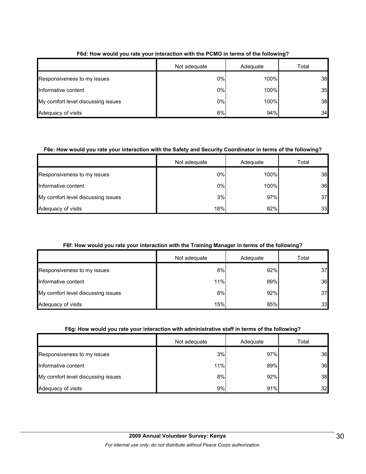|                                    | Not adequate | Adequate | Total |
|------------------------------------|--------------|----------|-------|
| Responsiveness to my issues        | 0%           | 100%     | 38    |
| Informative content                | 0%           | 100%     | 35    |
| My comfort level discussing issues | 0%           | 100%     | 38    |
| Adequacy of visits                 | 6%           | 94%      | 34    |

## **F6d: How would you rate your interaction with the PCMO in terms of the following?**

## **F6e: How would you rate your interaction with the Safety and Security Coordinator in terms of the following?**

|                                    | Not adequate | Adequate | Total |
|------------------------------------|--------------|----------|-------|
| Responsiveness to my issues        | 0%           | 100%     | 38    |
| Informative content                | $0\%$        | 100%     | 36    |
| My comfort level discussing issues | 3%           | 97%      | 37    |
| Adequacy of visits                 | 18%          | 82%      | 33    |

## **F6f: How would you rate your interaction with the Training Manager in terms of the following?**

|                                    | Not adequate | Adequate | Total |
|------------------------------------|--------------|----------|-------|
| Responsiveness to my issues        | 8%           | 92%      | 37    |
| Informative content                | 11%          | 89%      | 36    |
| My comfort level discussing issues | 8%           | 92%      | 37    |
| Adequacy of visits                 | 15%          | 85%      | 33    |

## **F6g: How would you rate your interaction with administrative staff in terms of the following?**

|                                    | Not adequate | Adequate | Total |
|------------------------------------|--------------|----------|-------|
| Responsiveness to my issues        | 3%           | 97%      | 36    |
| Informative content                | 11%          | 89%      | 36    |
| My comfort level discussing issues | 8%           | 92%      | 38    |
| Adequacy of visits                 | 9%           | 91%      | 32    |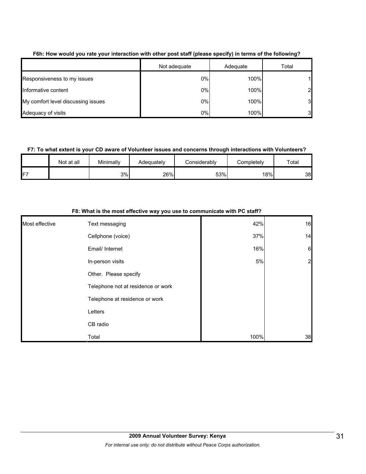|                                    | Not adequate | Adequate | Total          |
|------------------------------------|--------------|----------|----------------|
| Responsiveness to my issues        | 0%           | 100%     |                |
| Informative content                | 0%           | 100%     | $\overline{2}$ |
| My comfort level discussing issues | 0%           | 100%     | 3              |
| Adequacy of visits                 | 0%           | 100%     | 3              |

#### **F6h: How would you rate your interaction with other post staff (please specify) in terms of the following?**

## **F7: To what extent is your CD aware of Volunteer issues and concerns through interactions with Volunteers?**

|     | Not at all | Minimally | Adeauatelv | <b>Considerably</b> | Completelv | Total |
|-----|------------|-----------|------------|---------------------|------------|-------|
| IF7 |            | 3%        | 26%        | 53%                 | 18%        | 38    |

|                | of front to the mode chocard may you doo to communicate many o clum. |      |                 |
|----------------|----------------------------------------------------------------------|------|-----------------|
| Most effective | Text messaging                                                       | 42%  | 16              |
|                | Cellphone (voice)                                                    | 37%  | 14              |
|                | Email/ Internet                                                      | 16%  | $6\phantom{.}6$ |
|                | In-person visits                                                     | 5%   | $\overline{2}$  |
|                | Other. Please specify                                                |      |                 |
|                | Telephone not at residence or work                                   |      |                 |
|                | Telephone at residence or work                                       |      |                 |
|                | Letters                                                              |      |                 |
|                | CB radio                                                             |      |                 |
|                | Total                                                                | 100% | 38              |

#### **F8: What is the most effective way you use to communicate with PC staff?**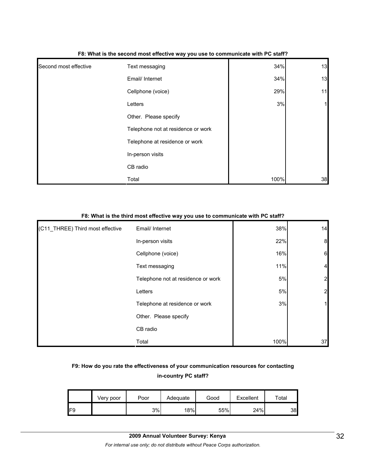| Second most effective | Text messaging                     | 34%  | 13 |
|-----------------------|------------------------------------|------|----|
|                       | Email/ Internet                    | 34%  | 13 |
|                       | Cellphone (voice)                  | 29%  | 11 |
|                       | Letters                            | 3%   | 1  |
|                       | Other. Please specify              |      |    |
|                       | Telephone not at residence or work |      |    |
|                       | Telephone at residence or work     |      |    |
|                       | In-person visits                   |      |    |
|                       | CB radio                           |      |    |
|                       | Total                              | 100% | 38 |

#### **F8: What is the second most effective way you use to communicate with PC staff?**

### **F8: What is the third most effective way you use to communicate with PC staff?**

| (C11_THREE) Third most effective | Email/ Internet                    | 38%  | 14               |
|----------------------------------|------------------------------------|------|------------------|
|                                  | In-person visits                   | 22%  | $\boldsymbol{8}$ |
|                                  | Cellphone (voice)                  | 16%  | $6\phantom{.}6$  |
|                                  | Text messaging                     | 11%  | $\overline{4}$   |
|                                  | Telephone not at residence or work | 5%   | $\overline{2}$   |
|                                  | Letters                            | 5%   | $\overline{2}$   |
|                                  | Telephone at residence or work     | 3%   | 1                |
|                                  | Other. Please specify              |      |                  |
|                                  | CB radio                           |      |                  |
|                                  | Total                              | 100% | 37               |

## **F9: How do you rate the effectiveness of your communication resources for contacting in-country PC staff?**

|     | Very poor | Poor | Adequate | Good | Excellent | ™otal |
|-----|-----------|------|----------|------|-----------|-------|
| IF9 |           | 3%   | 18%      | 55%  | 24%       | 38    |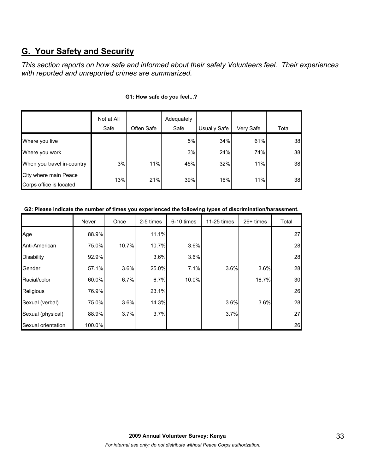## **G. Your Safety and Security**

*This section reports on how safe and informed about their safety Volunteers feel. Their experiences with reported and unreported crimes are summarized.* 

|                                                  | Not at All |            | Adequately |              |           |       |
|--------------------------------------------------|------------|------------|------------|--------------|-----------|-------|
|                                                  | Safe       | Often Safe | Safe       | Usually Safe | Very Safe | Total |
| Where you live                                   |            |            | 5%         | 34%          | 61%       | 38    |
| Where you work                                   |            |            | 3%         | 24%          | 74%       | 38    |
| When you travel in-country                       | 3%         | 11%        | 45%        | 32%          | 11%       | 38    |
| City where main Peace<br>Corps office is located | 13%        | 21%        | 39%        | 16%          | 11%       | 38    |

## **G1: How safe do you feel...?**

**G2: Please indicate the number of times you experienced the following types of discrimination/harassment.**

|                    | Never  | Once  | 2-5 times | 6-10 times | 11-25 times | $26+$ times | Total |
|--------------------|--------|-------|-----------|------------|-------------|-------------|-------|
| Age                | 88.9%  |       | 11.1%     |            |             |             | 27    |
| Anti-American      | 75.0%  | 10.7% | 10.7%     | 3.6%       |             |             | 28    |
| <b>Disability</b>  | 92.9%  |       | 3.6%      | 3.6%       |             |             | 28    |
| Gender             | 57.1%  | 3.6%  | 25.0%     | 7.1%       | 3.6%        | 3.6%        | 28    |
| Racial/color       | 60.0%  | 6.7%  | 6.7%      | 10.0%      |             | 16.7%       | 30    |
| Religious          | 76.9%  |       | 23.1%     |            |             |             | 26    |
| Sexual (verbal)    | 75.0%  | 3.6%  | 14.3%     |            | 3.6%        | 3.6%        | 28    |
| Sexual (physical)  | 88.9%  | 3.7%  | 3.7%      |            | 3.7%        |             | 27    |
| Sexual orientation | 100.0% |       |           |            |             |             | 26    |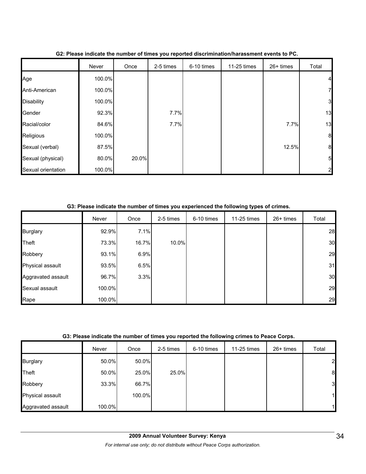|                    | Never  | Once  | 2-5 times | 6-10 times | 11-25 times | 26+ times | Total          |
|--------------------|--------|-------|-----------|------------|-------------|-----------|----------------|
| Age                | 100.0% |       |           |            |             |           | $\overline{4}$ |
| Anti-American      | 100.0% |       |           |            |             |           | $\overline{7}$ |
| <b>Disability</b>  | 100.0% |       |           |            |             |           | 3 <sup>l</sup> |
| Gender             | 92.3%  |       | 7.7%      |            |             |           | 13             |
| Racial/color       | 84.6%  |       | 7.7%      |            |             | 7.7%      | 13             |
| Religious          | 100.0% |       |           |            |             |           | 8 <sup>1</sup> |
| Sexual (verbal)    | 87.5%  |       |           |            |             | 12.5%     | 8 <sup>1</sup> |
| Sexual (physical)  | 80.0%  | 20.0% |           |            |             |           | 5 <sub>l</sub> |
| Sexual orientation | 100.0% |       |           |            |             |           | $\overline{2}$ |

## **G2: Please indicate the number of times you reported discrimination/harassment events to PC.**

**G3: Please indicate the number of times you experienced the following types of crimes.**

|                    | Never  | Once  | 2-5 times | 6-10 times | 11-25 times | 26+ times | Total |
|--------------------|--------|-------|-----------|------------|-------------|-----------|-------|
| <b>Burglary</b>    | 92.9%  | 7.1%  |           |            |             |           | 28    |
| Theft              | 73.3%  | 16.7% | 10.0%     |            |             |           | 30    |
| Robbery            | 93.1%  | 6.9%  |           |            |             |           | 29    |
| Physical assault   | 93.5%  | 6.5%  |           |            |             |           | 31    |
| Aggravated assault | 96.7%  | 3.3%  |           |            |             |           | 30    |
| Sexual assault     | 100.0% |       |           |            |             |           | 29    |
| Rape               | 100.0% |       |           |            |             |           | 29    |

#### **G3: Please indicate the number of times you reported the following crimes to Peace Corps.**

|                    | Never  | Once   | 2-5 times | 6-10 times | 11-25 times | $26+$ times | Total        |
|--------------------|--------|--------|-----------|------------|-------------|-------------|--------------|
| <b>Burglary</b>    | 50.0%  | 50.0%  |           |            |             |             | 2            |
| <b>Theft</b>       | 50.0%  | 25.0%  | 25.0%     |            |             |             | 8            |
| Robbery            | 33.3%  | 66.7%  |           |            |             |             | 3            |
| Physical assault   |        | 100.0% |           |            |             |             | 11           |
| Aggravated assault | 100.0% |        |           |            |             |             | $\mathbf{1}$ |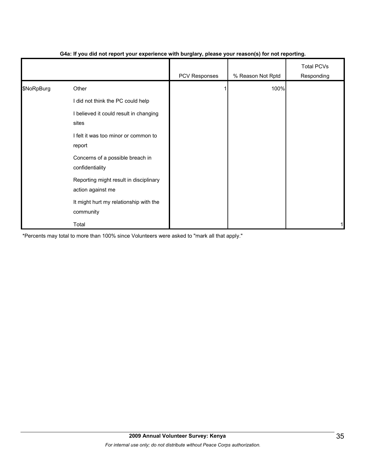|            |                                                             | .             | $\mathbf{v}$      |                                 |
|------------|-------------------------------------------------------------|---------------|-------------------|---------------------------------|
|            |                                                             | PCV Responses | % Reason Not Rptd | <b>Total PCVs</b><br>Responding |
| \$NoRpBurg | Other                                                       |               | 100%              |                                 |
|            | did not think the PC could help                             |               |                   |                                 |
|            | I believed it could result in changing<br>sites             |               |                   |                                 |
|            | I felt it was too minor or common to<br>report              |               |                   |                                 |
|            | Concerns of a possible breach in<br>confidentiality         |               |                   |                                 |
|            | Reporting might result in disciplinary<br>action against me |               |                   |                                 |
|            | It might hurt my relationship with the<br>community         |               |                   |                                 |
|            | Total                                                       |               |                   |                                 |

## **G4a: If you did not report your experience with burglary, please your reason(s) for not reporting.**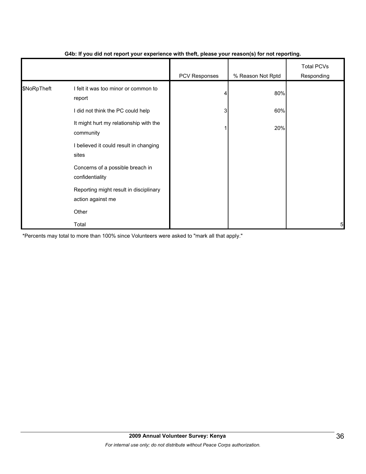|             |                                                             | - 1           | $\mathbf{v}$      |                                 |
|-------------|-------------------------------------------------------------|---------------|-------------------|---------------------------------|
|             |                                                             | PCV Responses | % Reason Not Rptd | <b>Total PCVs</b><br>Responding |
| \$NoRpTheft | I felt it was too minor or common to<br>report              |               | 80%               |                                 |
|             | I did not think the PC could help                           | 3             | 60%               |                                 |
|             | It might hurt my relationship with the<br>community         |               | 20%               |                                 |
|             | I believed it could result in changing<br>sites             |               |                   |                                 |
|             | Concerns of a possible breach in<br>confidentiality         |               |                   |                                 |
|             | Reporting might result in disciplinary<br>action against me |               |                   |                                 |
|             | Other                                                       |               |                   |                                 |
|             | Total                                                       |               |                   | 5                               |

## **G4b: If you did not report your experience with theft, please your reason(s) for not reporting.**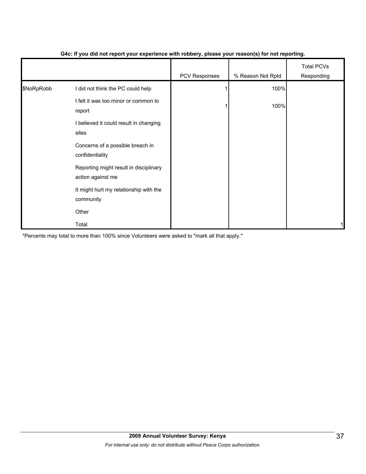|            |                                                             | PCV Responses | % Reason Not Rptd | <b>Total PCVs</b><br>Responding |
|------------|-------------------------------------------------------------|---------------|-------------------|---------------------------------|
| \$NoRpRobb | I did not think the PC could help                           |               | 100%              |                                 |
|            | I felt it was too minor or common to<br>report              |               | 100%              |                                 |
|            | I believed it could result in changing<br>sites             |               |                   |                                 |
|            | Concerns of a possible breach in<br>confidentiality         |               |                   |                                 |
|            | Reporting might result in disciplinary<br>action against me |               |                   |                                 |
|            | It might hurt my relationship with the<br>community         |               |                   |                                 |
|            | Other                                                       |               |                   |                                 |
|            | Total                                                       |               |                   |                                 |

### **G4c: If you did not report your experience with robbery, please your reason(s) for not reporting.**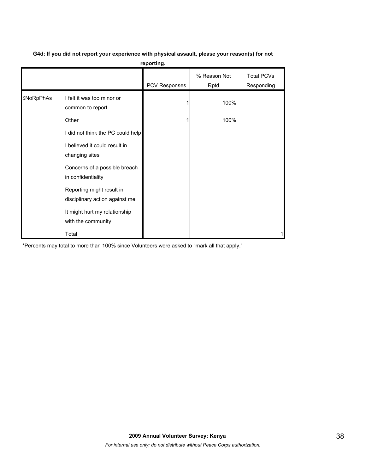|            |                                                             | reporting.           |                      |                                 |
|------------|-------------------------------------------------------------|----------------------|----------------------|---------------------------------|
|            |                                                             | <b>PCV Responses</b> | % Reason Not<br>Rptd | <b>Total PCVs</b><br>Responding |
| \$NoRpPhAs | I felt it was too minor or<br>common to report              |                      | 100%                 |                                 |
|            | Other                                                       |                      | 100%                 |                                 |
|            | I did not think the PC could help                           |                      |                      |                                 |
|            | I believed it could result in<br>changing sites             |                      |                      |                                 |
|            | Concerns of a possible breach<br>in confidentiality         |                      |                      |                                 |
|            | Reporting might result in<br>disciplinary action against me |                      |                      |                                 |
|            | It might hurt my relationship<br>with the community         |                      |                      |                                 |
|            | Total                                                       |                      |                      |                                 |

#### **G4d: If you did not report your experience with physical assault, please your reason(s) for not reporting.**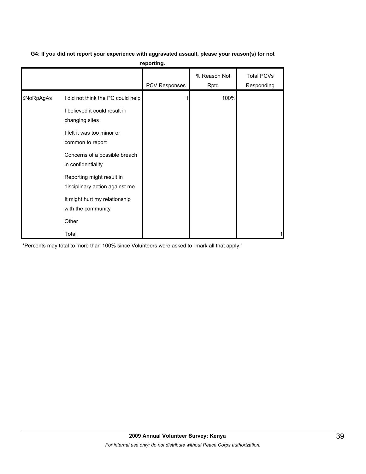# **G4: If you did not report your experience with aggravated assault, please your reason(s) for not**

| reporting. |  |  |  |
|------------|--|--|--|
|            |  |  |  |

|            |                                                                    | PCV Responses | % Reason Not<br>Rptd | <b>Total PCVs</b><br>Responding |
|------------|--------------------------------------------------------------------|---------------|----------------------|---------------------------------|
| \$NoRpAgAs | I did not think the PC could help<br>I believed it could result in |               | 100%                 |                                 |
|            | changing sites                                                     |               |                      |                                 |
|            | I felt it was too minor or<br>common to report                     |               |                      |                                 |
|            | Concerns of a possible breach<br>in confidentiality                |               |                      |                                 |
|            | Reporting might result in<br>disciplinary action against me        |               |                      |                                 |
|            | It might hurt my relationship<br>with the community                |               |                      |                                 |
|            | Other                                                              |               |                      |                                 |
|            | Total                                                              |               |                      |                                 |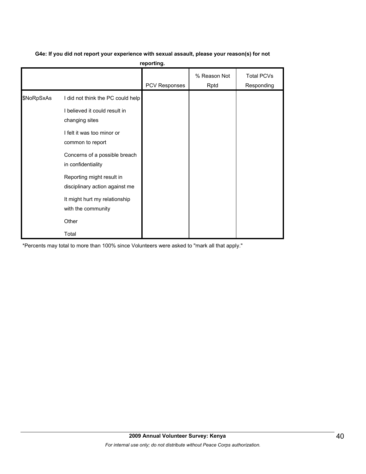**reporting.**

|            |                                                                                                                                                                                                                                                                                               | PCV Responses | % Reason Not<br>Rptd | <b>Total PCVs</b><br>Responding |
|------------|-----------------------------------------------------------------------------------------------------------------------------------------------------------------------------------------------------------------------------------------------------------------------------------------------|---------------|----------------------|---------------------------------|
| \$NoRpSxAs | I did not think the PC could help<br>I believed it could result in<br>changing sites<br>I felt it was too minor or<br>common to report<br>Concerns of a possible breach<br>in confidentiality<br>Reporting might result in<br>disciplinary action against me<br>It might hurt my relationship |               |                      |                                 |
|            | with the community<br>Other<br>Total                                                                                                                                                                                                                                                          |               |                      |                                 |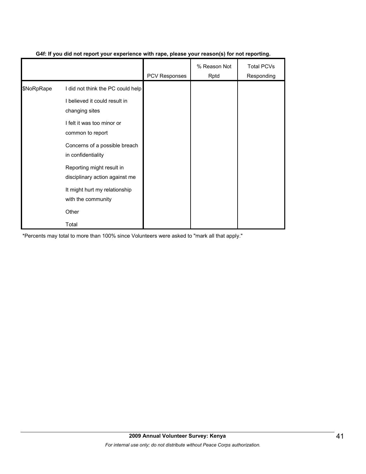|            |                                                             | <b>PCV Responses</b> | % Reason Not<br>Rptd | <b>Total PCVs</b><br>Responding |
|------------|-------------------------------------------------------------|----------------------|----------------------|---------------------------------|
| \$NoRpRape | I did not think the PC could help                           |                      |                      |                                 |
|            | I believed it could result in<br>changing sites             |                      |                      |                                 |
|            | I felt it was too minor or<br>common to report              |                      |                      |                                 |
|            | Concerns of a possible breach<br>in confidentiality         |                      |                      |                                 |
|            | Reporting might result in<br>disciplinary action against me |                      |                      |                                 |
|            | It might hurt my relationship<br>with the community         |                      |                      |                                 |
|            | Other                                                       |                      |                      |                                 |
|            | Total                                                       |                      |                      |                                 |

## **G4f: If you did not report your experience with rape, please your reason(s) for not reporting.**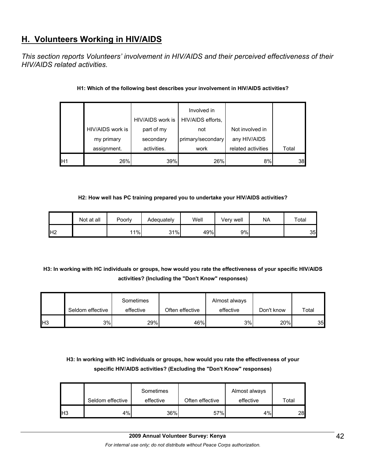## **H. Volunteers Working in HIV/AIDS**

*This section reports Volunteers' involvement in HIV/AIDS and their perceived effectiveness of their HIV/AIDS related activities.* 

|    |                  | HIV/AIDS work is | Involved in<br>HIV/AIDS efforts, |                    |       |
|----|------------------|------------------|----------------------------------|--------------------|-------|
|    | HIV/AIDS work is | part of my       | not                              | Not involved in    |       |
|    | my primary       | secondary        | primary/secondary                | any HIV/AIDS       |       |
|    | assignment.      | activities.      | work                             | related activities | Total |
| H1 | 26%              | 39%              | 26%                              | 8%                 | 38    |

## **H1: Which of the following best describes your involvement in HIV/AIDS activities?**

## **H2: How well has PC training prepared you to undertake your HIV/AIDS activities?**

|                | Not at all | Poorly | Adequately | Well | Very well | <b>NA</b> | Total |
|----------------|------------|--------|------------|------|-----------|-----------|-------|
| H <sub>2</sub> |            | 11%    | 31%        | 49%  | 9%        |           | 35    |

## **H3: In working with HC individuals or groups, how would you rate the effectiveness of your specific HIV/AIDS activities? (Including the "Don't Know" responses)**

|                 |                  | Sometimes |                 | Almost always |            |       |
|-----------------|------------------|-----------|-----------------|---------------|------------|-------|
|                 | Seldom effective | effective | Often effective | effective     | Don't know | Total |
| IH <sub>3</sub> | 3%               | 29%       | 46%             | 3%            | 20%        | 35    |

## **H3: In working with HC individuals or groups, how would you rate the effectiveness of your specific HIV/AIDS activities? (Excluding the "Don't Know" responses)**

|     | Seldom effective | Sometimes<br>effective | Often effective | Almost always<br>effective | Total           |
|-----|------------------|------------------------|-----------------|----------------------------|-----------------|
| lН3 | 4%               | 36%                    | 57%             | 4%                         | 28 <sub>l</sub> |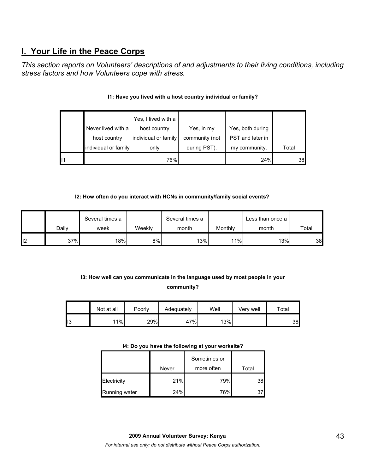## **I. Your Life in the Peace Corps**

*This section reports on Volunteers' descriptions of and adjustments to their living conditions, including stress factors and how Volunteers cope with stress.* 

| lı <sub>1</sub> |                      | 76%                  |                | 24%              | 38    |
|-----------------|----------------------|----------------------|----------------|------------------|-------|
|                 | individual or family | only                 | during PST).   | my community.    | Total |
|                 | host country         | individual or family | community (not | PST and later in |       |
|                 | Never lived with a   | host country         | Yes, in my     | Yes, both during |       |
|                 |                      | Yes, I lived with a  |                |                  |       |

## **I1: Have you lived with a host country individual or family?**

## **I2: How often do you interact with HCNs in community/family social events?**

|     |       | Several times a |        | Several times a |         | Less than once a |       |
|-----|-------|-----------------|--------|-----------------|---------|------------------|-------|
|     | Dailv | week            | Weeklv | month           | Monthly | month            | Total |
| 112 | 37%   | 18%             | 8%     | 13%             | 11%     | 13%              | 38    |

## **I3: How well can you communicate in the language used by most people in your community?**

|    | Not at all | Poorly | Adequately | Well | Verv well | $\tau$ otal |
|----|------------|--------|------------|------|-----------|-------------|
| ⊔ט | 11%        | 29%    | 47%        | 13%  |           | 38          |

#### **I4: Do you have the following at your worksite?**

|               |       | Sometimes or |                 |
|---------------|-------|--------------|-----------------|
|               | Never | more often   | Total           |
| Electricity   | 21%   | 79%          | 38              |
| Running water | 24%   | 76%          | 37 <sub>1</sub> |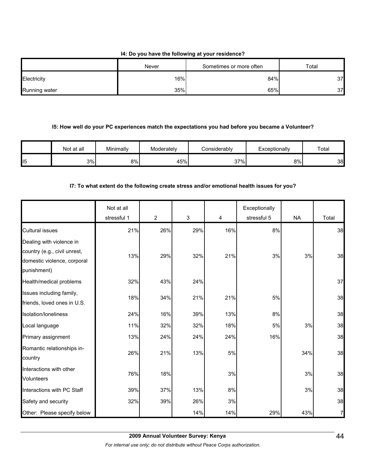## **I4: Do you have the following at your residence?**

|               | Never | Sometimes or more often | Total |
|---------------|-------|-------------------------|-------|
| Electricity   | 16%   | 84%                     | 37    |
| Running water | 35%   | 65%                     | 37    |

#### **I5: How well do your PC experiences match the expectations you had before you became a Volunteer?**

|     | Not at all | Minimally | Moderately | <b>Considerably</b> | Exceptionally | Total |
|-----|------------|-----------|------------|---------------------|---------------|-------|
| ll5 | 3%         | 8%        | 45%        | 37%                 | 8%            | 38    |

## **I7: To what extent do the following create stress and/or emotional health issues for you?**

|                                                                                                        | Not at all<br>stressful 1 | $\overline{2}$ | 3   | 4   | Exceptionally<br>stressful 5 | <b>NA</b> | Total |
|--------------------------------------------------------------------------------------------------------|---------------------------|----------------|-----|-----|------------------------------|-----------|-------|
| <b>Cultural issues</b>                                                                                 | 21%                       | 26%            | 29% | 16% | 8%                           |           | 38    |
| Dealing with violence in<br>country (e.g., civil unrest,<br>domestic violence, corporal<br>punishment) | 13%                       | 29%            | 32% | 21% | 3%                           | 3%        | 38    |
| Health/medical problems                                                                                | 32%                       | 43%            | 24% |     |                              |           | 37    |
| Issues including family,<br>friends, loved ones in U.S.                                                | 18%                       | 34%            | 21% | 21% | 5%                           |           | 38    |
| Isolation/loneliness                                                                                   | 24%                       | 16%            | 39% | 13% | 8%                           |           | 38    |
| Local language                                                                                         | 11%                       | 32%            | 32% | 18% | 5%                           | 3%        | 38    |
| Primary assignment                                                                                     | 13%                       | 24%            | 24% | 24% | 16%                          |           | 38    |
| Romantic relationships in-<br>country                                                                  | 26%                       | 21%            | 13% | 5%  |                              | 34%       | 38    |
| Interactions with other<br><b>Volunteers</b>                                                           | 76%                       | 18%            |     | 3%  |                              | 3%        | 38    |
| Interactions with PC Staff                                                                             | 39%                       | 37%            | 13% | 8%  |                              | 3%        | 38    |
| Safety and security                                                                                    | 32%                       | 39%            | 26% | 3%  |                              |           | 38    |
| Other: Please specify below                                                                            |                           |                | 14% | 14% | 29%                          | 43%       |       |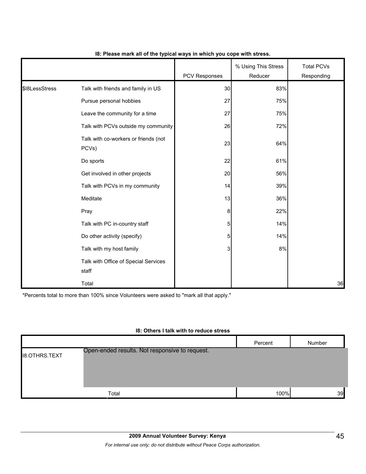|                |                                               | PCV Responses  | % Using This Stress<br>Reducer | <b>Total PCVs</b><br>Responding |
|----------------|-----------------------------------------------|----------------|--------------------------------|---------------------------------|
| \$18LessStress | Talk with friends and family in US            | 30             | 83%                            |                                 |
|                | Pursue personal hobbies                       | 27             | 75%                            |                                 |
|                | Leave the community for a time                | 27             | 75%                            |                                 |
|                | Talk with PCVs outside my community           | 26             | 72%                            |                                 |
|                | Talk with co-workers or friends (not<br>PCVs) | 23             | 64%                            |                                 |
|                | Do sports                                     | 22             | 61%                            |                                 |
|                | Get involved in other projects                | 20             | 56%                            |                                 |
|                | Talk with PCVs in my community                | 14             | 39%                            |                                 |
|                | Meditate                                      | 13             | 36%                            |                                 |
|                | Pray                                          | 8              | 22%                            |                                 |
|                | Talk with PC in-country staff                 | 5 <sub>5</sub> | 14%                            |                                 |
|                | Do other activity (specify)                   | 5 <sub>l</sub> | 14%                            |                                 |
|                | Talk with my host family                      | 3              | 8%                             |                                 |
|                | Talk with Office of Special Services<br>staff |                |                                |                                 |
|                | Total                                         |                |                                | 36                              |

#### **I8: Please mark all of the typical ways in which you cope with stress.**

\*Percents total to more than 100% since Volunteers were asked to "mark all that apply."

#### **I8: Others I talk with to reduce stress**

|                      |                                                | Percent | Number |
|----------------------|------------------------------------------------|---------|--------|
| <b>18.OTHRS.TEXT</b> | Open-ended results. Not responsive to request. |         |        |
|                      | Total                                          | 100%    | 39     |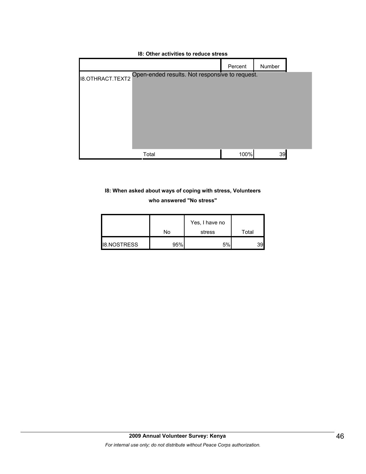|                         |                                                | Percent | Number |
|-------------------------|------------------------------------------------|---------|--------|
| <b>I8.OTHRACT.TEXT2</b> | Open-ended results. Not responsive to request. |         |        |
|                         |                                                |         |        |
|                         |                                                |         |        |
|                         |                                                |         |        |
|                         |                                                |         |        |
|                         |                                                |         |        |
|                         |                                                |         |        |
|                         | Total                                          | 100%    | 39     |

## **I8: Other activities to reduce stress**

## **I8: When asked about ways of coping with stress, Volunteers who answered "No stress"**

|                    | No  | Yes, I have no<br>stress | Total           |
|--------------------|-----|--------------------------|-----------------|
| <b>I8.NOSTRESS</b> | 95% | 5%                       | 39 <sub>l</sub> |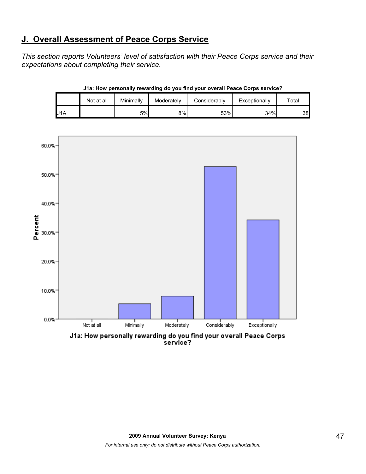## **J. Overall Assessment of Peace Corps Service**

*This section reports Volunteers' level of satisfaction with their Peace Corps service and their expectations about completing their service.* 

|     | Not at all | Minimallv | Moderately | Considerably | Exceptionally | Total |
|-----|------------|-----------|------------|--------------|---------------|-------|
| J1A |            | 5%        | 8%l        | 53%          | 34%           | 38    |

**J1a: How personally rewarding do you find your overall Peace Corps service?**



J1a: How personally rewarding do you find your overall Peace Corps<br>service?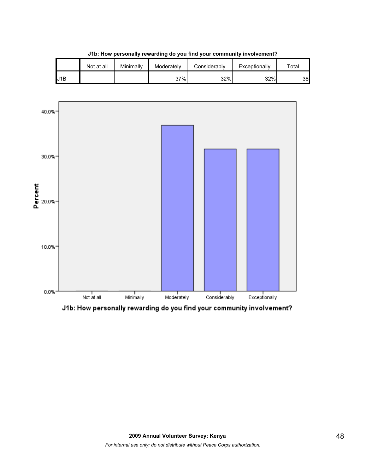

**J1b: How personally rewarding do you find your community involvement?**



J1b: How personally rewarding do you find your community involvement?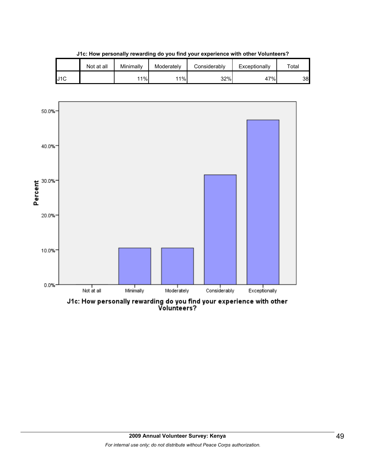|     | Not at all | Minimallv | Moderately | Considerablv | Exceptionally | $\tau$ otal |
|-----|------------|-----------|------------|--------------|---------------|-------------|
| J1C |            | 11%       | 11%        | 32%          | 47%           | 38          |

**J1c: How personally rewarding do you find your experience with other Volunteers?**



J1c: How personally rewarding do you find your experience with other<br>Volunteers?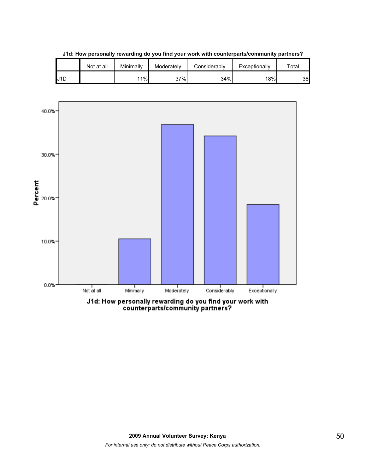

**J1d: How personally rewarding do you find your work with counterparts/community partners?**

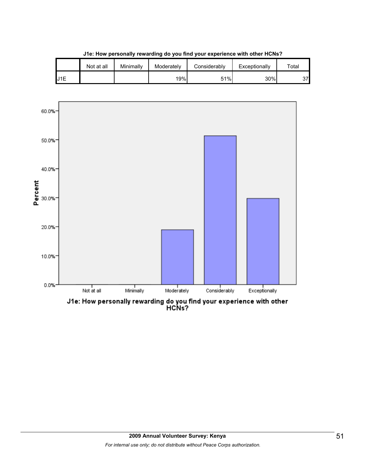|     | Not at all | Minimally | Moderately | Considerably | Exceptionally | $\tau$ otal |
|-----|------------|-----------|------------|--------------|---------------|-------------|
| J1E |            |           | 19%        | 51%          | 30%           | 37          |

**J1e: How personally rewarding do you find your experience with other HCNs?**



J1e: How personally rewarding do you find your experience with other<br>HCNs?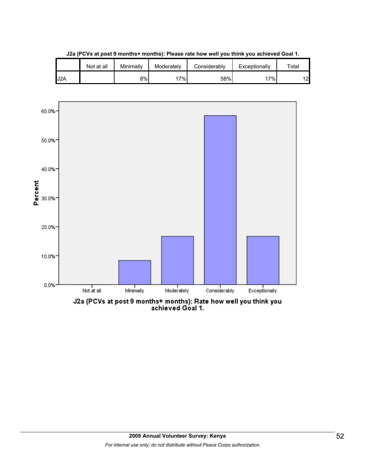

**J2a (PCVs at post 9 months+ months): Please rate how well you think you achieved Goal 1.**

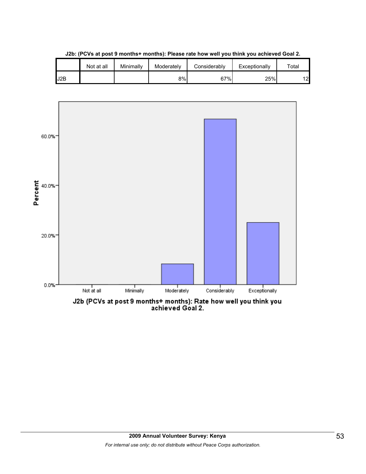|     | Not at all | Minimally | Moderately | Considerably | Exceptionally | $\tau$ otal |
|-----|------------|-----------|------------|--------------|---------------|-------------|
| J2B |            |           | 8%I        | 67%          | 25%           | 12          |

**J2b: (PCVs at post 9 months+ months): Please rate how well you think you achieved Goal 2.**

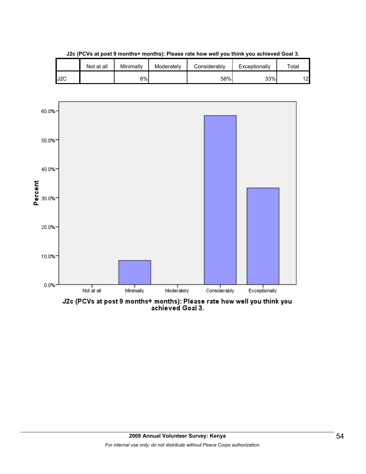|     | Not at all | Minimally | Moderately | Considerably | Exceptionally | $\tau$ otal |
|-----|------------|-----------|------------|--------------|---------------|-------------|
| J2C |            | 8%        |            | 58%          | 33%           | 12          |

**J2c (PCVs at post 9 months+ months): Please rate how well you think you achieved Goal 3.**



J2c (PCVs at post 9 months+ months): Please rate how well you think you<br>achieved Goal 3.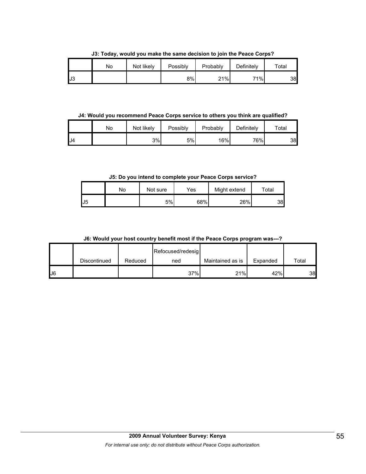**J3: Today, would you make the same decision to join the Peace Corps?**

|     | No | Not likely | Possibly | Probably | Definitely | Total |
|-----|----|------------|----------|----------|------------|-------|
| IJЗ |    |            | 8%       | 21%      | 71%        | 38    |

**J4: Would you recommend Peace Corps service to others you think are qualified?**

|     | No | Not likely | Possibly | Probably | Definitely | $\tau$ otal |
|-----|----|------------|----------|----------|------------|-------------|
| IJ4 |    | 3%         | 5%       | 16%      | 76%        | 38          |

**J5: Do you intend to complete your Peace Corps service?**

|     | No | Not sure | Yes | Might extend | $\tau$ otal |
|-----|----|----------|-----|--------------|-------------|
| IJ5 |    | 5%       | 68% | 26%          | 38          |

**J6: Would your host country benefit most if the Peace Corps program was---?**

|    |              |         | Refocused/redesig |                  |          |       |
|----|--------------|---------|-------------------|------------------|----------|-------|
|    | Discontinued | Reduced | ned               | Maintained as is | Expanded | Total |
| J6 |              |         | 37%               | 21%              | 42%      | 38    |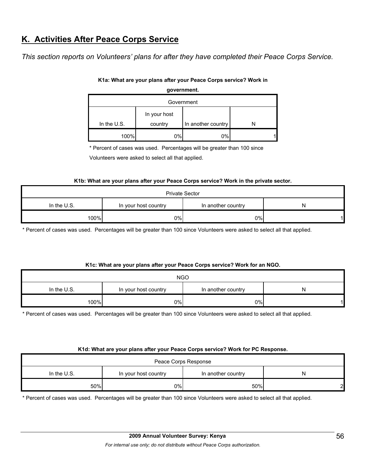## **K. Activities After Peace Corps Service**

*This section reports on Volunteers' plans for after they have completed their Peace Corps Service.*

| government.  |         |                    |  |  |  |  |
|--------------|---------|--------------------|--|--|--|--|
| Government   |         |                    |  |  |  |  |
| In your host |         |                    |  |  |  |  |
| In the U.S.  | country | In another country |  |  |  |  |
| 100%         | 0%      | 0%                 |  |  |  |  |

### **K1a: What are your plans after your Peace Corps service? Work in**

\* Percent of cases was used. Percentages will be greater than 100 since

Volunteers were asked to select all that applied.

#### **K1b: What are your plans after your Peace Corps service? Work in the private sector.**

| <b>Private Sector</b> |                    |    |  |  |  |  |
|-----------------------|--------------------|----|--|--|--|--|
| In the U.S.           | In another country | N  |  |  |  |  |
| 100%                  | $0\%$              | 0% |  |  |  |  |

\* Percent of cases was used. Percentages will be greater than 100 since Volunteers were asked to select all that applied.

#### **K1c: What are your plans after your Peace Corps service? Work for an NGO.**

| <b>NGO</b>    |                      |                    |   |  |  |  |
|---------------|----------------------|--------------------|---|--|--|--|
| In the $U.S.$ | In your host country | In another country | N |  |  |  |
| 100%          | 0%                   | $0\%$              |   |  |  |  |

\* Percent of cases was used. Percentages will be greater than 100 since Volunteers were asked to select all that applied.

#### **K1d: What are your plans after your Peace Corps service? Work for PC Response.**

| Peace Corps Response                                             |    |     |        |  |  |  |
|------------------------------------------------------------------|----|-----|--------|--|--|--|
| In the $U.S.$<br>In another country<br>In your host country<br>N |    |     |        |  |  |  |
| 50%                                                              | 0% | 50% | $\sim$ |  |  |  |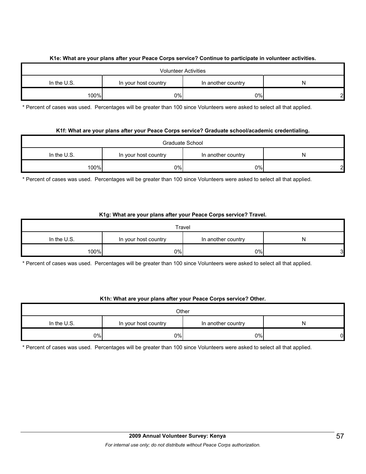## **K1e: What are your plans after your Peace Corps service? Continue to participate in volunteer activities.**

| <b>Volunteer Activities</b>                                      |    |    |   |  |  |  |
|------------------------------------------------------------------|----|----|---|--|--|--|
| In the $U.S.$<br>In another country<br>In your host country<br>N |    |    |   |  |  |  |
| 100%                                                             | 0% | 0% | ി |  |  |  |

\* Percent of cases was used. Percentages will be greater than 100 since Volunteers were asked to select all that applied.

## **K1f: What are your plans after your Peace Corps service? Graduate school/academic credentialing.**

| Graduate School                                                |       |       |   |  |  |  |
|----------------------------------------------------------------|-------|-------|---|--|--|--|
| In the U.S.<br>In another country<br>In your host country<br>N |       |       |   |  |  |  |
| 100%                                                           | $0\%$ | $0\%$ | c |  |  |  |

\* Percent of cases was used. Percentages will be greater than 100 since Volunteers were asked to select all that applied.

## **K1g: What are your plans after your Peace Corps service? Travel.**

| Travel      |                      |                    |    |  |  |  |
|-------------|----------------------|--------------------|----|--|--|--|
| In the U.S. | In your host country | In another country | N  |  |  |  |
| 100%        | 0%                   | $0\%$              | 3І |  |  |  |

\* Percent of cases was used. Percentages will be greater than 100 since Volunteers were asked to select all that applied.

## **K1h: What are your plans after your Peace Corps service? Other.**

| Other       |                    |       |    |  |  |  |
|-------------|--------------------|-------|----|--|--|--|
| In the U.S. | In another country | N     |    |  |  |  |
| $0\%$       | 0%                 | $0\%$ | 01 |  |  |  |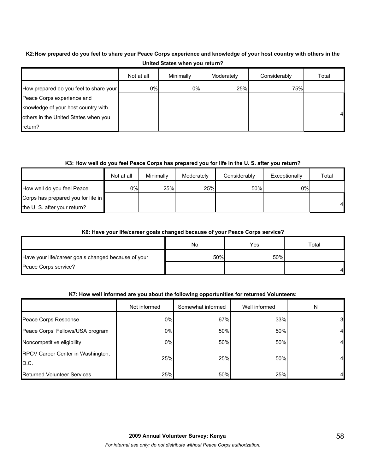## **K2:How prepared do you feel to share your Peace Corps experience and knowledge of your host country with others in the United States when you return?**

|                                        | Not at all | Minimally | Moderately | Considerably | Total |
|----------------------------------------|------------|-----------|------------|--------------|-------|
| How prepared do you feel to share your | 0%         | 0%        | 25%        | 75%          |       |
| Peace Corps experience and             |            |           |            |              |       |
| knowledge of your host country with    |            |           |            |              |       |
| others in the United States when you   |            |           |            |              |       |
| $r$ return?                            |            |           |            |              |       |

## **K3: How well do you feel Peace Corps has prepared you for life in the U. S. after you return?**

|                                    | Not at all | Minimally | Moderately | Considerably | Exceptionally | Total |
|------------------------------------|------------|-----------|------------|--------------|---------------|-------|
| How well do you feel Peace         | 0%l        | 25%       | 25%        | 50%          | 0%I           |       |
| Corps has prepared you for life in |            |           |            |              |               |       |
| the U.S. after your return?        |            |           |            |              |               | 41    |

#### **K6: Have your life/career goals changed because of your Peace Corps service?**

|                                                     | No  | Yes | ⊤otal |
|-----------------------------------------------------|-----|-----|-------|
| Have your life/career goals changed because of your | 50% | 50% |       |
| Peace Corps service?                                |     |     |       |

## **K7: How well informed are you about the following opportunities for returned Volunteers:**

|                                           | Not informed | Somewhat informed | Well informed | N  |
|-------------------------------------------|--------------|-------------------|---------------|----|
| Peace Corps Response                      | 0%           | 67%               | 33%           | 31 |
| Peace Corps' Fellows/USA program          | 0%           | 50%               | 50%           |    |
| Noncompetitive eligibility                | 0%           | 50%               | 50%           |    |
| RPCV Career Center in Washington,<br>D.C. | 25%          | 25%               | 50%           |    |
| Returned Volunteer Services               | 25%          | 50%               | 25%           |    |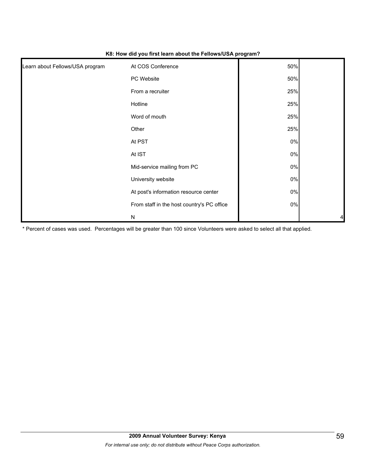| Learn about Fellows/USA program | At COS Conference                          | 50%   |   |
|---------------------------------|--------------------------------------------|-------|---|
|                                 | PC Website                                 | 50%   |   |
|                                 | From a recruiter                           | 25%   |   |
|                                 | Hotline                                    | 25%   |   |
|                                 | Word of mouth                              | 25%   |   |
|                                 | Other                                      | 25%   |   |
|                                 | At PST                                     | 0%    |   |
|                                 | At IST                                     | 0%    |   |
|                                 | Mid-service mailing from PC                | 0%    |   |
|                                 | University website                         | $0\%$ |   |
|                                 | At post's information resource center      | $0\%$ |   |
|                                 | From staff in the host country's PC office | $0\%$ |   |
|                                 | ${\sf N}$                                  |       | 4 |

#### **K8: How did you first learn about the Fellows/USA program?**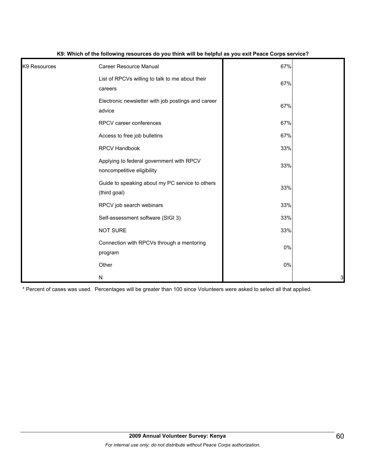| K <sub>9</sub> Resources | Career Resource Manual                                                 | 67% |   |
|--------------------------|------------------------------------------------------------------------|-----|---|
|                          | List of RPCVs willing to talk to me about their<br>careers             | 67% |   |
|                          | Electronic newsletter with job postings and career<br>advice           | 67% |   |
|                          | RPCV career conferences                                                | 67% |   |
|                          | Access to free job bulletins                                           | 67% |   |
|                          | RPCV Handbook                                                          | 33% |   |
|                          | Applying to federal government with RPCV<br>noncompetitive eligibility | 33% |   |
|                          | Guide to speaking about my PC service to others<br>(third goal)        | 33% |   |
|                          | RPCV job search webinars                                               | 33% |   |
|                          | Self-assessment software (SIGI 3)                                      | 33% |   |
|                          | <b>NOT SURE</b>                                                        | 33% |   |
|                          | Connection with RPCVs through a mentoring<br>program                   | 0%  |   |
|                          | Other                                                                  | 0%  |   |
|                          | ${\sf N}$                                                              |     | 3 |

#### **K9: Which of the following resources do you think will be helpful as you exit Peace Corps service?**